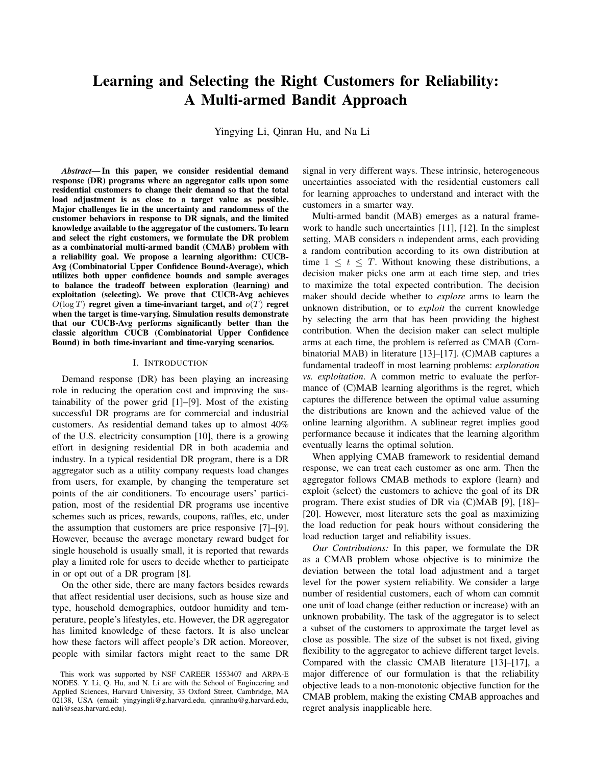# Learning and Selecting the Right Customers for Reliability: A Multi-armed Bandit Approach

Yingying Li, Qinran Hu, and Na Li

*Abstract*— In this paper, we consider residential demand response (DR) programs where an aggregator calls upon some residential customers to change their demand so that the total load adjustment is as close to a target value as possible. Major challenges lie in the uncertainty and randomness of the customer behaviors in response to DR signals, and the limited knowledge available to the aggregator of the customers. To learn and select the right customers, we formulate the DR problem as a combinatorial multi-armed bandit (CMAB) problem with a reliability goal. We propose a learning algorithm: CUCB-Avg (Combinatorial Upper Confidence Bound-Average), which utilizes both upper confidence bounds and sample averages to balance the tradeoff between exploration (learning) and exploitation (selecting). We prove that CUCB-Avg achieves  $O(\log T)$  regret given a time-invariant target, and  $O(T)$  regret when the target is time-varying. Simulation results demonstrate that our CUCB-Avg performs significantly better than the classic algorithm CUCB (Combinatorial Upper Confidence Bound) in both time-invariant and time-varying scenarios.

#### I. INTRODUCTION

Demand response (DR) has been playing an increasing role in reducing the operation cost and improving the sustainability of the power grid [1]–[9]. Most of the existing successful DR programs are for commercial and industrial customers. As residential demand takes up to almost 40% of the U.S. electricity consumption [10], there is a growing effort in designing residential DR in both academia and industry. In a typical residential DR program, there is a DR aggregator such as a utility company requests load changes from users, for example, by changing the temperature set points of the air conditioners. To encourage users' participation, most of the residential DR programs use incentive schemes such as prices, rewards, coupons, raffles, etc, under the assumption that customers are price responsive [7]–[9]. However, because the average monetary reward budget for single household is usually small, it is reported that rewards play a limited role for users to decide whether to participate in or opt out of a DR program [8].

On the other side, there are many factors besides rewards that affect residential user decisions, such as house size and type, household demographics, outdoor humidity and temperature, people's lifestyles, etc. However, the DR aggregator has limited knowledge of these factors. It is also unclear how these factors will affect people's DR action. Moreover, people with similar factors might react to the same DR signal in very different ways. These intrinsic, heterogeneous uncertainties associated with the residential customers call for learning approaches to understand and interact with the customers in a smarter way.

Multi-armed bandit (MAB) emerges as a natural framework to handle such uncertainties [11], [12]. In the simplest setting, MAB considers  $n$  independent arms, each providing a random contribution according to its own distribution at time  $1 \leq t \leq T$ . Without knowing these distributions, a decision maker picks one arm at each time step, and tries to maximize the total expected contribution. The decision maker should decide whether to *explore* arms to learn the unknown distribution, or to *exploit* the current knowledge by selecting the arm that has been providing the highest contribution. When the decision maker can select multiple arms at each time, the problem is referred as CMAB (Combinatorial MAB) in literature [13]–[17]. (C)MAB captures a fundamental tradeoff in most learning problems: *exploration vs. exploitation*. A common metric to evaluate the performance of (C)MAB learning algorithms is the regret, which captures the difference between the optimal value assuming the distributions are known and the achieved value of the online learning algorithm. A sublinear regret implies good performance because it indicates that the learning algorithm eventually learns the optimal solution.

When applying CMAB framework to residential demand response, we can treat each customer as one arm. Then the aggregator follows CMAB methods to explore (learn) and exploit (select) the customers to achieve the goal of its DR program. There exist studies of DR via (C)MAB [9], [18]– [20]. However, most literature sets the goal as maximizing the load reduction for peak hours without considering the load reduction target and reliability issues.

*Our Contributions:* In this paper, we formulate the DR as a CMAB problem whose objective is to minimize the deviation between the total load adjustment and a target level for the power system reliability. We consider a large number of residential customers, each of whom can commit one unit of load change (either reduction or increase) with an unknown probability. The task of the aggregator is to select a subset of the customers to approximate the target level as close as possible. The size of the subset is not fixed, giving flexibility to the aggregator to achieve different target levels. Compared with the classic CMAB literature [13]–[17], a major difference of our formulation is that the reliability objective leads to a non-monotonic objective function for the CMAB problem, making the existing CMAB approaches and regret analysis inapplicable here.

This work was supported by NSF CAREER 1553407 and ARPA-E NODES. Y. Li, Q. Hu, and N. Li are with the School of Engineering and Applied Sciences, Harvard University, 33 Oxford Street, Cambridge, MA 02138, USA (email: yingyingli@g.harvard.edu, qinranhu@g.harvard.edu, nali@seas.harvard.edu).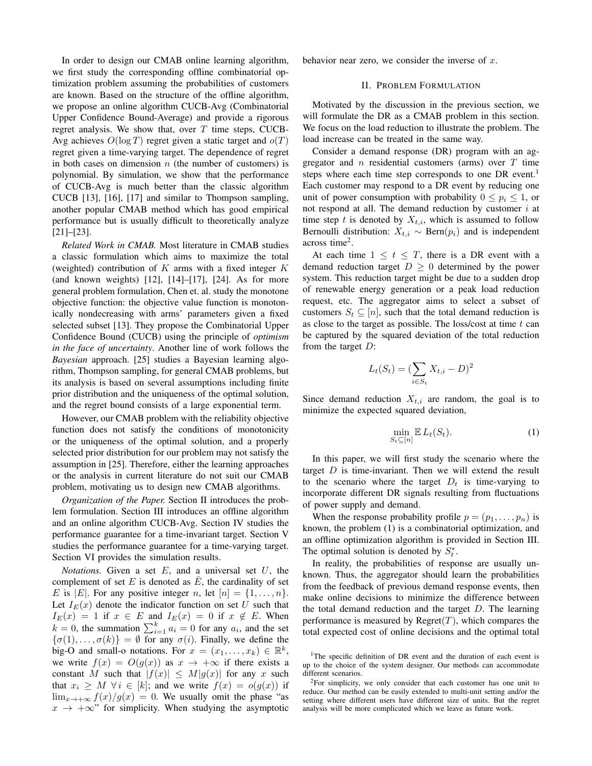In order to design our CMAB online learning algorithm, we first study the corresponding offline combinatorial optimization problem assuming the probabilities of customers are known. Based on the structure of the offline algorithm, we propose an online algorithm CUCB-Avg (Combinatorial Upper Confidence Bound-Average) and provide a rigorous regret analysis. We show that, over  $T$  time steps, CUCB-Avg achieves  $O(\log T)$  regret given a static target and  $o(T)$ regret given a time-varying target. The dependence of regret in both cases on dimension  $n$  (the number of customers) is polynomial. By simulation, we show that the performance of CUCB-Avg is much better than the classic algorithm CUCB [13], [16], [17] and similar to Thompson sampling, another popular CMAB method which has good empirical performance but is usually difficult to theoretically analyze [21]–[23].

*Related Work in CMAB.* Most literature in CMAB studies a classic formulation which aims to maximize the total (weighted) contribution of  $K$  arms with a fixed integer  $K$ (and known weights) [12], [14]–[17], [24]. As for more general problem formulation, Chen et. al. study the monotone objective function: the objective value function is monotonically nondecreasing with arms' parameters given a fixed selected subset [13]. They propose the Combinatorial Upper Confidence Bound (CUCB) using the principle of *optimism in the face of uncertainty*. Another line of work follows the *Bayesian* approach. [25] studies a Bayesian learning algorithm, Thompson sampling, for general CMAB problems, but its analysis is based on several assumptions including finite prior distribution and the uniqueness of the optimal solution, and the regret bound consists of a large exponential term.

However, our CMAB problem with the reliability objective function does not satisfy the conditions of monotonicity or the uniqueness of the optimal solution, and a properly selected prior distribution for our problem may not satisfy the assumption in [25]. Therefore, either the learning approaches or the analysis in current literature do not suit our CMAB problem, motivating us to design new CMAB algorithms.

*Organization of the Paper.* Section II introduces the problem formulation. Section III introduces an offline algorithm and an online algorithm CUCB-Avg. Section IV studies the performance guarantee for a time-invariant target. Section V studies the performance guarantee for a time-varying target. Section VI provides the simulation results.

*Notations.* Given a set  $E$ , and a universal set  $U$ , the complement of set  $E$  is denoted as  $E$ , the cardinality of set E is |E|. For any positive integer n, let  $[n] = \{1, \ldots, n\}.$ Let  $I_E(x)$  denote the indicator function on set U such that  $I_E(x) = 1$  if  $x \in E$  and  $I_E(x) = 0$  if  $x \notin E$ . When  $k = 0$ , the summation  $\sum_{i=1}^{k} a_i = 0$  for any  $a_i$ , and the set  $\{\sigma(1), \ldots, \sigma(k)\} = \emptyset$  for any  $\sigma(i)$ . Finally, we define the big-O and small-o notations. For  $x = (x_1, \ldots, x_k) \in \mathbb{R}^k$ , we write  $f(x) = O(g(x))$  as  $x \to +\infty$  if there exists a constant M such that  $|f(x)| \leq M|g(x)|$  for any x such that  $x_i \geq M$   $\forall i \in [k]$ ; and we write  $f(x) = o(g(x))$  if  $\lim_{x\to+\infty} f(x)/g(x) = 0$ . We usually omit the phase "as  $x \rightarrow +\infty$ " for simplicity. When studying the asymptotic behavior near zero, we consider the inverse of  $x$ .

# II. PROBLEM FORMULATION

Motivated by the discussion in the previous section, we will formulate the DR as a CMAB problem in this section. We focus on the load reduction to illustrate the problem. The load increase can be treated in the same way.

Consider a demand response (DR) program with an aggregator and n residential customers (arms) over  $T$  time steps where each time step corresponds to one DR event.<sup>1</sup> Each customer may respond to a DR event by reducing one unit of power consumption with probability  $0 \leq p_i \leq 1$ , or not respond at all. The demand reduction by customer  $i$  at time step t is denoted by  $X_{t,i}$ , which is assumed to follow Bernoulli distribution:  $X_{t,i} \sim \text{Bern}(p_i)$  and is independent across time<sup>2</sup>.

At each time  $1 \leq t \leq T$ , there is a DR event with a demand reduction target  $D \geq 0$  determined by the power system. This reduction target might be due to a sudden drop of renewable energy generation or a peak load reduction request, etc. The aggregator aims to select a subset of customers  $S_t \subseteq [n]$ , such that the total demand reduction is as close to the target as possible. The loss/cost at time  $t$  can be captured by the squared deviation of the total reduction from the target  $D$ :

$$
L_t(S_t) = (\sum_{i \in S_t} X_{t,i} - D)^2
$$

Since demand reduction  $X_{t,i}$  are random, the goal is to minimize the expected squared deviation,

$$
\min_{S_t \subseteq [n]} \mathbb{E} L_t(S_t). \tag{1}
$$

In this paper, we will first study the scenario where the target  $D$  is time-invariant. Then we will extend the result to the scenario where the target  $D_t$  is time-varying to incorporate different DR signals resulting from fluctuations of power supply and demand.

When the response probability profile  $p = (p_1, \ldots, p_n)$  is known, the problem (1) is a combinatorial optimization, and an offline optimization algorithm is provided in Section III. The optimal solution is denoted by  $S_t^*$ .

In reality, the probabilities of response are usually unknown. Thus, the aggregator should learn the probabilities from the feedback of previous demand response events, then make online decisions to minimize the difference between the total demand reduction and the target  $D$ . The learning performance is measured by  $Regret(T)$ , which compares the total expected cost of online decisions and the optimal total

<sup>&</sup>lt;sup>1</sup>The specific definition of DR event and the duration of each event is up to the choice of the system designer. Our methods can accommodate different scenarios.

<sup>2</sup>For simplicity, we only consider that each customer has one unit to reduce. Our method can be easily extended to multi-unit setting and/or the setting where different users have different size of units. But the regret analysis will be more complicated which we leave as future work.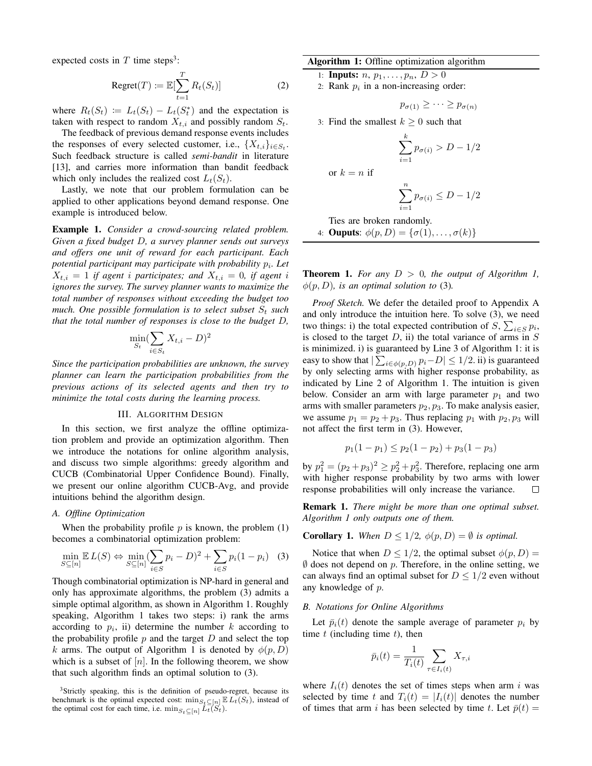expected costs in  $T$  time steps<sup>3</sup>:

$$
Regret(T) := \mathbb{E}[\sum_{t=1}^{T} R_t(S_t)]
$$
 (2)

where  $R_t(S_t) := L_t(S_t) - L_t(S_t^*)$  and the expectation is taken with respect to random  $X_{t,i}$  and possibly random  $S_t$ .

The feedback of previous demand response events includes the responses of every selected customer, i.e.,  $\{X_{t,i}\}_{i \in S_t}$ . Such feedback structure is called *semi-bandit* in literature [13], and carries more information than bandit feedback which only includes the realized cost  $L_t(S_t)$ .

Lastly, we note that our problem formulation can be applied to other applications beyond demand response. One example is introduced below.

Example 1. *Consider a crowd-sourcing related problem. Given a fixed budget* D*, a survey planner sends out surveys and offers one unit of reward for each participant. Each potential participant may participate with probability* p<sup>i</sup> *. Let*  $X_{t,i} = 1$  *if agent i participates; and*  $X_{t,i} = 0$ *, if agent i ignores the survey. The survey planner wants to maximize the total number of responses without exceeding the budget too much. One possible formulation is to select subset*  $S_t$  *such that the total number of responses is close to the budget* D*,*

$$
\min_{S_t} (\sum_{i \in S_t} X_{t,i} - D)^2
$$

*Since the participation probabilities are unknown, the survey planner can learn the participation probabilities from the previous actions of its selected agents and then try to minimize the total costs during the learning process.*

## III. ALGORITHM DESIGN

In this section, we first analyze the offline optimization problem and provide an optimization algorithm. Then we introduce the notations for online algorithm analysis, and discuss two simple algorithms: greedy algorithm and CUCB (Combinatorial Upper Confidence Bound). Finally, we present our online algorithm CUCB-Avg, and provide intuitions behind the algorithm design.

#### *A. Offline Optimization*

When the probability profile  $p$  is known, the problem  $(1)$ becomes a combinatorial optimization problem:

$$
\min_{S \subseteq [n]} \mathbb{E} L(S) \Leftrightarrow \min_{S \subseteq [n]} (\sum_{i \in S} p_i - D)^2 + \sum_{i \in S} p_i (1 - p_i) \quad (3)
$$

Though combinatorial optimization is NP-hard in general and only has approximate algorithms, the problem (3) admits a simple optimal algorithm, as shown in Algorithm 1. Roughly speaking, Algorithm 1 takes two steps: i) rank the arms according to  $p_i$ , ii) determine the number k according to the probability profile  $p$  and the target  $D$  and select the top k arms. The output of Algorithm 1 is denoted by  $\phi(p, D)$ which is a subset of  $[n]$ . In the following theorem, we show that such algorithm finds an optimal solution to (3).

# Algorithm 1: Offline optimization algorithm

1: **Inputs:** *n*,  $p_1, \ldots, p_n$ , *D* > 0

2: Rank  $p_i$  in a non-increasing order:

$$
p_{\sigma(1)} \geq \cdots \geq p_{\sigma(n)}
$$

3: Find the smallest  $k \geq 0$  such that

k

$$
\sum_{i=1}^{n} p_{\sigma(i)} > D - 1/2
$$

or  $k = n$  if

$$
\sum_{i=1}^{n} p_{\sigma(i)} \le D - 1/2
$$

$$
Ties are broken randomly.
$$
  
4: **OutputStream**:  $φ(p, D) = {σ(1), ..., σ(k)}$ 

**Theorem 1.** For any  $D > 0$ , the output of Algorithm 1,  $\phi(p, D)$ *, is an optimal solution to* (3)*.* 

*Proof Sketch.* We defer the detailed proof to Appendix A and only introduce the intuition here. To solve (3), we need two things: i) the total expected contribution of  $S$ ,  $\sum_{i \in S} p_i$ , is closed to the target  $D$ , ii) the total variance of arms in  $S$ is minimized. i) is guaranteed by Line 3 of Algorithm 1: it is easy to show that  $|\sum_{i \in \phi(p,D)} p_i - D| \leq 1/2$ . ii) is guaranteed by only selecting arms with higher response probability, as indicated by Line 2 of Algorithm 1. The intuition is given below. Consider an arm with large parameter  $p_1$  and two arms with smaller parameters  $p_2$ ,  $p_3$ . To make analysis easier, we assume  $p_1 = p_2 + p_3$ . Thus replacing  $p_1$  with  $p_2, p_3$  will not affect the first term in (3). However,

$$
p_1(1-p_1) \le p_2(1-p_2) + p_3(1-p_3)
$$

by  $p_1^2 = (p_2 + p_3)^2 \ge p_2^2 + p_3^2$ . Therefore, replacing one arm with higher response probability by two arms with lower response probabilities will only increase the variance. П

Remark 1. *There might be more than one optimal subset. Algorithm 1 only outputs one of them.*

**Corollary 1.** *When*  $D \leq 1/2$ ,  $\phi(p, D) = \emptyset$  *is optimal.* 

Notice that when  $D \leq 1/2$ , the optimal subset  $\phi(p, D)$  =  $\emptyset$  does not depend on p. Therefore, in the online setting, we can always find an optimal subset for  $D \leq 1/2$  even without any knowledge of p.

#### *B. Notations for Online Algorithms*

Let  $\bar{p}_i(t)$  denote the sample average of parameter  $p_i$  by time  $t$  (including time  $t$ ), then

$$
\bar{p}_i(t) = \frac{1}{T_i(t)} \sum_{\tau \in I_i(t)} X_{\tau, i}
$$

where  $I_i(t)$  denotes the set of times steps when arm i was selected by time t and  $T_i(t) = |I_i(t)|$  denotes the number of times that arm i has been selected by time t. Let  $\bar{p}(t) =$ 

<sup>&</sup>lt;sup>3</sup>Strictly speaking, this is the definition of pseudo-regret, because its benchmark is the optimal expected cost:  $\min_{S_t \subseteq [n]} \mathbb{E} L_t(S_t)$ , instead of the optimal cost for each time, i.e.  $\min_{S_t \subseteq [n]} L_t(S_t)$ .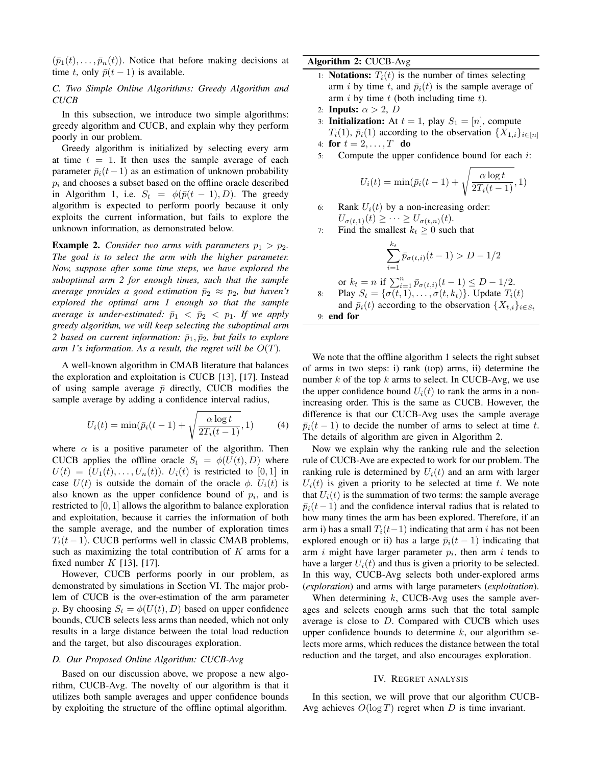$(\bar{p}_1(t), \ldots, \bar{p}_n(t))$ . Notice that before making decisions at time t, only  $\bar{p}(t-1)$  is available.

*C. Two Simple Online Algorithms: Greedy Algorithm and CUCB*

In this subsection, we introduce two simple algorithms: greedy algorithm and CUCB, and explain why they perform poorly in our problem.

Greedy algorithm is initialized by selecting every arm at time  $t = 1$ . It then uses the sample average of each parameter  $\bar{p}_i(t-1)$  as an estimation of unknown probability  $p_i$  and chooses a subset based on the offline oracle described in Algorithm 1, i.e.  $S_t = \phi(\bar{p}(t-1), D)$ . The greedy algorithm is expected to perform poorly because it only exploits the current information, but fails to explore the unknown information, as demonstrated below.

**Example 2.** *Consider two arms with parameters*  $p_1 > p_2$ *. The goal is to select the arm with the higher parameter. Now, suppose after some time steps, we have explored the suboptimal arm 2 for enough times, such that the sample average provides a good estimation*  $\bar{p}_2 \approx p_2$ *, but haven't explored the optimal arm 1 enough so that the sample average is under-estimated:*  $\bar{p}_1 < \bar{p}_2 < p_1$ *. If we apply greedy algorithm, we will keep selecting the suboptimal arm 2 based on current information:*  $\bar{p}_1, \bar{p}_2$ *, but fails to explore arm 1's information. As a result, the regret will be*  $O(T)$ *.* 

A well-known algorithm in CMAB literature that balances the exploration and exploitation is CUCB [13], [17]. Instead of using sample average  $\bar{p}$  directly, CUCB modifies the sample average by adding a confidence interval radius,

$$
U_i(t) = \min(\bar{p}_i(t-1) + \sqrt{\frac{\alpha \log t}{2T_i(t-1)}}, 1)
$$
 (4)

where  $\alpha$  is a positive parameter of the algorithm. Then CUCB applies the offline oracle  $S_t = \phi(U(t), D)$  where  $U(t) = (U_1(t), \ldots, U_n(t))$ .  $U_i(t)$  is restricted to [0, 1] in case  $U(t)$  is outside the domain of the oracle  $\phi$ .  $U_i(t)$  is also known as the upper confidence bound of  $p_i$ , and is restricted to [0, 1] allows the algorithm to balance exploration and exploitation, because it carries the information of both the sample average, and the number of exploration times  $T_i(t-1)$ . CUCB performs well in classic CMAB problems, such as maximizing the total contribution of  $K$  arms for a fixed number  $K$  [13], [17].

However, CUCB performs poorly in our problem, as demonstrated by simulations in Section VI. The major problem of CUCB is the over-estimation of the arm parameter p. By choosing  $S_t = \phi(U(t), D)$  based on upper confidence bounds, CUCB selects less arms than needed, which not only results in a large distance between the total load reduction and the target, but also discourages exploration.

#### *D. Our Proposed Online Algorithm: CUCB-Avg*

Based on our discussion above, we propose a new algorithm, CUCB-Avg. The novelty of our algorithm is that it utilizes both sample averages and upper confidence bounds by exploiting the structure of the offline optimal algorithm.

# Algorithm 2: CUCB-Avg

- 1: **Notations:**  $T_i(t)$  is the number of times selecting arm i by time t, and  $\bar{p}_i(t)$  is the sample average of arm  $i$  by time  $t$  (both including time  $t$ ).
- 2: Inputs:  $\alpha > 2$ , D
- 3: **Initialization:** At  $t = 1$ , play  $S_1 = [n]$ , compute  $T_i(1)$ ,  $\bar{p}_i(1)$  according to the observation  $\{X_{1,i}\}_{i \in [n]}$

4: for 
$$
t = 2, \ldots, T
$$
 do

5: Compute the upper confidence bound for each  $i$ :

$$
U_i(t) = \min(\bar{p}_i(t-1) + \sqrt{\frac{\alpha \log t}{2T_i(t-1)}}, 1)
$$

6: Rank  $U_i(t)$  by a non-increasing order:  $U_{\sigma(t,1)}(t) \geq \cdots \geq U_{\sigma(t,n)}(t).$ 

7: Find the smallest  $k_t \geq 0$  such that

$$
\sum_{i=1}^{k_t} \bar{p}_{\sigma(t,i)}(t-1) > D - 1/2
$$
\n
$$
= n \text{ if } \sum_{i=1}^n \bar{p}_{\sigma(t,i)}(t-1) \le D - 1/2.
$$

or 
$$
k_t = n
$$
 if  $\sum_{i=1}^n \bar{p}_{\sigma(t,i)}(t-1) \leq D - 1/2$ . \n Hay  $S_t = \{\sigma(t,1), \ldots, \sigma(t,k_t)\}$ . Update  $T_i(t)$ 

and  $\bar{p}_i(t)$  according to the observation  $\{X_{t,i}\}_{i \in S_t}$ 9: end for

We note that the offline algorithm 1 selects the right subset of arms in two steps: i) rank (top) arms, ii) determine the number k of the top k arms to select. In CUCB-Avg, we use the upper confidence bound  $U_i(t)$  to rank the arms in a nonincreasing order. This is the same as CUCB. However, the difference is that our CUCB-Avg uses the sample average  $\bar{p}_i(t-1)$  to decide the number of arms to select at time t. The details of algorithm are given in Algorithm 2.

Now we explain why the ranking rule and the selection rule of CUCB-Ave are expected to work for our problem. The ranking rule is determined by  $U_i(t)$  and an arm with larger  $U_i(t)$  is given a priority to be selected at time t. We note that  $U_i(t)$  is the summation of two terms: the sample average  $\bar{p}_i(t-1)$  and the confidence interval radius that is related to how many times the arm has been explored. Therefore, if an arm i) has a small  $T_i(t-1)$  indicating that arm i has not been explored enough or ii) has a large  $\bar{p}_i(t-1)$  indicating that arm i might have larger parameter  $p_i$ , then arm i tends to have a larger  $U_i(t)$  and thus is given a priority to be selected. In this way, CUCB-Avg selects both under-explored arms (*exploration*) and arms with large parameters (*exploitation*).

When determining  $k$ , CUCB-Avg uses the sample averages and selects enough arms such that the total sample average is close to  $D$ . Compared with CUCB which uses upper confidence bounds to determine  $k$ , our algorithm selects more arms, which reduces the distance between the total reduction and the target, and also encourages exploration.

#### IV. REGRET ANALYSIS

In this section, we will prove that our algorithm CUCB-Avg achieves  $O(\log T)$  regret when D is time invariant.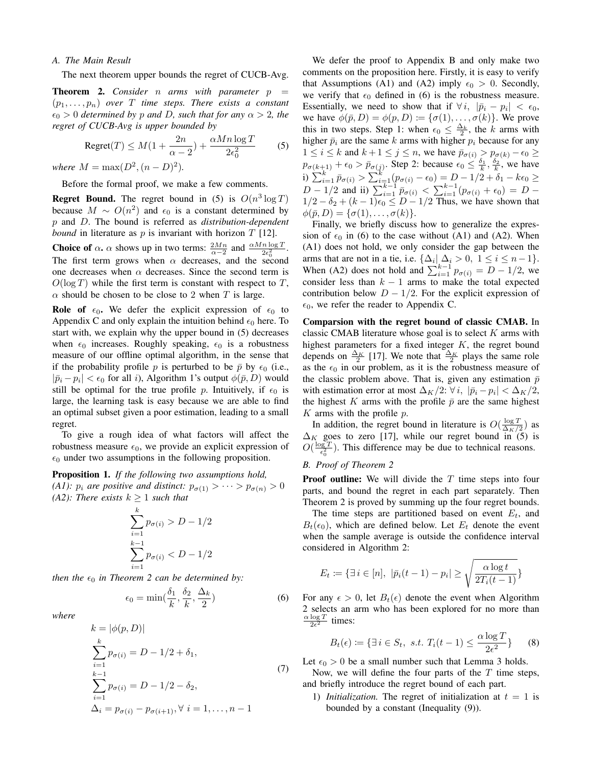### *A. The Main Result*

The next theorem upper bounds the regret of CUCB-Avg.

**Theorem 2.** *Consider n arms* with *parameter p*  $(p_1, \ldots, p_n)$  *over*  $T$  *time steps. There exists a constant*  $\epsilon_0 > 0$  *determined by* p *and* D, *such that for any*  $\alpha > 2$ , *the regret of CUCB-Avg is upper bounded by*

$$
Regret(T) \le M(1 + \frac{2n}{\alpha - 2}) + \frac{\alpha Mn \log T}{2\epsilon_0^2} \tag{5}
$$

*where*  $M = \max(D^2, (n - D)^2)$ *.* 

Before the formal proof, we make a few comments.

**Regret Bound.** The regret bound in (5) is  $O(n^3 \log T)$ because  $M \sim O(n^2)$  and  $\epsilon_0$  is a constant determined by p and D. The bound is referred as *distribution-dependent bound* in literature as  $p$  is invariant with horizon  $T$  [12].

**Choice of**  $\alpha$ ,  $\alpha$  shows up in two terms:  $\frac{2Mn}{\alpha-2}$  and  $\frac{\alpha Mn \log T}{2\epsilon_0^2}$ . The first term grows when  $\alpha$  decreases, and the second one decreases when  $\alpha$  decreases. Since the second term is  $O(\log T)$  while the first term is constant with respect to T,  $\alpha$  should be chosen to be close to 2 when T is large.

**Role of**  $\epsilon_0$ . We defer the explicit expression of  $\epsilon_0$  to Appendix C and only explain the intuition behind  $\epsilon_0$  here. To start with, we explain why the upper bound in (5) decreases when  $\epsilon_0$  increases. Roughly speaking,  $\epsilon_0$  is a robustness measure of our offline optimal algorithm, in the sense that if the probability profile p is perturbed to be  $\bar{p}$  by  $\epsilon_0$  (i.e.,  $|\bar{p}_i - p_i| < \epsilon_0$  for all *i*), Algorithm 1's output  $\phi(\bar{p}, D)$  would still be optimal for the true profile p. Intuitively, if  $\epsilon_0$  is large, the learning task is easy because we are able to find an optimal subset given a poor estimation, leading to a small regret.

To give a rough idea of what factors will affect the robustness measure  $\epsilon_0$ , we provide an explicit expression of  $\epsilon_0$  under two assumptions in the following proposition.

Proposition 1. *If the following two assumptions hold, (A1):*  $p_i$  *are positive and distinct:*  $p_{\sigma(1)} > \cdots > p_{\sigma(n)} > 0$ *(A2): There exists*  $k \geq 1$  *such that* 

$$
\sum_{i=1}^{k} p_{\sigma(i)} > D - 1/2
$$
  

$$
\sum_{i=1}^{k-1} p_{\sigma(i)} < D - 1/2
$$

*then the*  $\epsilon_0$  *in Theorem 2 can be determined by:* 

 $\epsilon_0 = \min(\frac{\delta_1}{k}, \frac{\delta_2}{k})$  $\frac{\delta_2}{k}, \frac{\Delta_k}{2}$ 2

 $(6)$ 

*where*

$$
k = |\phi(p, D)|
$$
  
\n
$$
\sum_{i=1}^{k} p_{\sigma(i)} = D - 1/2 + \delta_1,
$$
  
\n
$$
\sum_{i=1}^{k-1} p_{\sigma(i)} = D - 1/2 - \delta_2,
$$
  
\n
$$
\Delta_i = p_{\sigma(i)} - p_{\sigma(i+1)}, \forall i = 1, ..., n - 1
$$
\n(7)

We defer the proof to Appendix B and only make two comments on the proposition here. Firstly, it is easy to verify that Assumptions (A1) and (A2) imply  $\epsilon_0 > 0$ . Secondly, we verify that  $\epsilon_0$  defined in (6) is the robustness measure. Essentially, we need to show that if  $\forall i, |\bar{p}_i - p_i| < \epsilon_0$ , we have  $\phi(\bar{p}, D) = \phi(p, D) \coloneqq {\sigma(1), \ldots, \sigma(k)}$ . We prove this in two steps. Step 1: when  $\epsilon_0 \leq \frac{\Delta_k}{2}$ , the k arms with higher  $\bar{p}_i$  are the same k arms with higher  $p_i$  because for any  $1 \leq i \leq k$  and  $k+1 \leq j \leq n$ , we have  $\bar{p}_{\sigma(i)} > p_{\sigma(k)} - \epsilon_0 \geq$  $p_{\sigma(k+1)} + \epsilon_0 > \bar{p}_{\sigma(j)}$ . Step 2: because  $\epsilon_0 \leq \frac{\delta_1}{k}, \frac{\delta_2}{k}$ , we have i)  $\sum_{i=1}^{k} \bar{p}_{\sigma(i)} > \sum_{i=1}^{k} (p_{\sigma(i)} - \epsilon_0) = D - 1/2 + \delta_1 - k\epsilon_0 \ge$  $D-1/2$  and ii)  $\sum_{i=1}^{k-1} \bar{p}_{\sigma(i)} < \sum_{i=1}^{k-1} (p_{\sigma(i)} + \epsilon_0) = D 1/2 - \delta_2 + (k-1)\epsilon_0 \leq D - 1/2$  Thus, we have shown that  $\phi(\bar{p}, D) = {\sigma(1), \ldots, \sigma(k)}.$ 

Finally, we briefly discuss how to generalize the expression of  $\epsilon_0$  in (6) to the case without (A1) and (A2). When (A1) does not hold, we only consider the gap between the arms that are not in a tie, i.e.  $\{\Delta_i | \Delta_i > 0, 1 \le i \le n-1\}.$ When (A2) does not hold and  $\sum_{i=1}^{k-1} p_{\sigma(i)} = D - 1/2$ , we consider less than  $k - 1$  arms to make the total expected contribution below  $D - 1/2$ . For the explicit expression of  $\epsilon_0$ , we refer the reader to Appendix C.

Comparsion with the regret bound of classic CMAB. In classic CMAB literature whose goal is to select  $K$  arms with highest parameters for a fixed integer  $K$ , the regret bound depends on  $\frac{\Delta_K}{2}$  [17]. We note that  $\frac{\Delta_K}{2}$  plays the same role as the  $\epsilon_0$  in our problem, as it is the robustness measure of the classic problem above. That is, given any estimation  $\bar{p}$ with estimation error at most  $\Delta_K/2$ :  $\forall i$ ,  $|\bar{p}_i - p_i| < \Delta_K/2$ , the highest K arms with the profile  $\bar{p}$  are the same highest  $K$  arms with the profile  $p$ .

In addition, the regret bound in literature is  $O(\frac{\log T}{\Delta_K/2})$  as  $\Delta_K$  goes to zero [17], while our regret bound in (5) is  $O(\frac{\log T}{\epsilon^2})$  $\frac{qg(T)}{\epsilon_0^2}$ ). This difference may be due to technical reasons.

## *B. Proof of Theorem 2*

**Proof outline:** We will divide the  $T$  time steps into four parts, and bound the regret in each part separately. Then Theorem 2 is proved by summing up the four regret bounds.

The time steps are partitioned based on event  $E_t$ , and  $B_t(\epsilon_0)$ , which are defined below. Let  $E_t$  denote the event when the sample average is outside the confidence interval considered in Algorithm 2:

$$
E_t \coloneqq \{ \exists i \in [n], \ |\bar{p}_i(t-1) - p_i| \ge \sqrt{\frac{\alpha \log t}{2T_i(t-1)}} \}
$$

For any  $\epsilon > 0$ , let  $B_t(\epsilon)$  denote the event when Algorithm 2 selects an arm who has been explored for no more than  $\frac{\alpha \log T}{2\epsilon^2}$  times:

$$
B_t(\epsilon) \coloneqq \{ \exists \, i \in S_t, \ s.t. \ T_i(t-1) \le \frac{\alpha \log T}{2\epsilon^2} \} \qquad (8)
$$

Let  $\epsilon_0 > 0$  be a small number such that Lemma 3 holds.

Now, we will define the four parts of the  $T$  time steps, and briefly introduce the regret bound of each part.

1) *Initialization*. The regret of initialization at  $t = 1$  is bounded by a constant (Inequality (9)).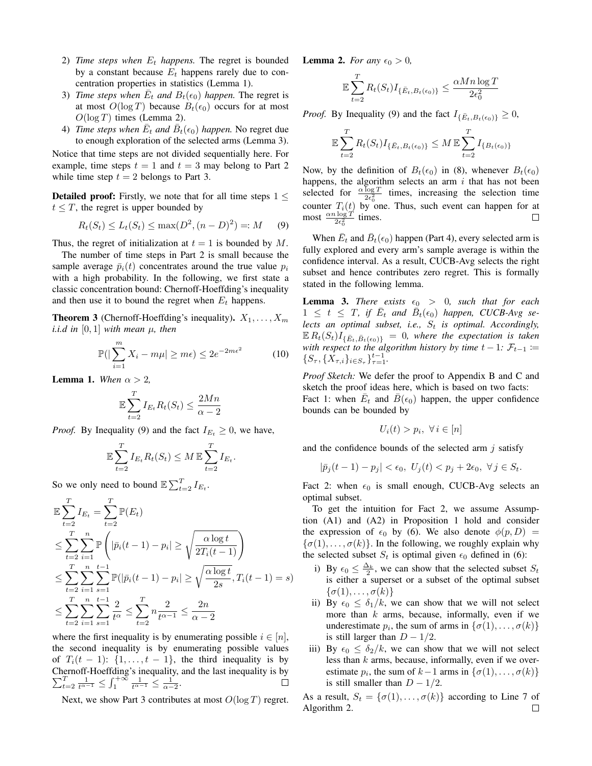- 2) *Time steps when*  $E_t$  *happens*. The regret is bounded by a constant because  $E_t$  happens rarely due to concentration properties in statistics (Lemma 1).
- 3) *Time steps when*  $\overline{E}_t$  *and*  $B_t(\epsilon_0)$  *happen*. The regret is at most  $O(\log T)$  because  $B_t(\epsilon_0)$  occurs for at most  $O(\log T)$  times (Lemma 2).
- 4) *Time steps when*  $\overline{E}_t$  *and*  $\overline{B}_t(\epsilon_0)$  *happen.* No regret due to enough exploration of the selected arms (Lemma 3).

Notice that time steps are not divided sequentially here. For example, time steps  $t = 1$  and  $t = 3$  may belong to Part 2 while time step  $t = 2$  belongs to Part 3.

**Detailed proof:** Firstly, we note that for all time steps  $1 \leq$  $t \leq T$ , the regret is upper bounded by

$$
R_t(S_t) \le L_t(S_t) \le \max(D^2, (n - D)^2) =: M \tag{9}
$$

Thus, the regret of initialization at  $t = 1$  is bounded by M.

The number of time steps in Part 2 is small because the sample average  $\bar{p}_i(t)$  concentrates around the true value  $p_i$ with a high probability. In the following, we first state a classic concentration bound: Chernoff-Hoeffding's inequality and then use it to bound the regret when  $E_t$  happens.

**Theorem 3** (Chernoff-Hoeffding's inequality).  $X_1, \ldots, X_m$ *i.i.d in* [0, 1] *with mean*  $\mu$ *, then* 

$$
\mathbb{P}(|\sum_{i=1}^{m} X_i - m\mu| \ge m\epsilon) \le 2e^{-2m\epsilon^2}
$$
 (10)

**Lemma 1.** *When*  $\alpha > 2$ ,

$$
\mathbb{E}\sum_{t=2}^{T}I_{E_t}R_t(S_t) \le \frac{2Mn}{\alpha - 2}
$$

*Proof.* By Inequality (9) and the fact  $I_{E_t} \geq 0$ , we have,

$$
\mathbb{E}\sum_{t=2}^T I_{E_t} R_t(S_t) \leq M \mathbb{E}\sum_{t=2}^T I_{E_t}.
$$

So we only need to bound  $\mathbb{E} \sum_{t=2}^{T} I_{E_t}$ .

$$
\mathbb{E}\sum_{t=2}^{T} I_{E_{t}} = \sum_{t=2}^{T} \mathbb{P}(E_{t})
$$
\n
$$
\leq \sum_{t=2}^{T} \sum_{i=1}^{n} \mathbb{P}\left(|\bar{p}_{i}(t-1) - p_{i}| \geq \sqrt{\frac{\alpha \log t}{2T_{i}(t-1)}}\right)
$$
\n
$$
\leq \sum_{t=2}^{T} \sum_{i=1}^{n} \sum_{s=1}^{t-1} \mathbb{P}(|\bar{p}_{i}(t-1) - p_{i}| \geq \sqrt{\frac{\alpha \log t}{2s}}, T_{i}(t-1) = s)
$$
\n
$$
\leq \sum_{t=2}^{T} \sum_{i=1}^{n} \sum_{s=1}^{t-1} \frac{2}{t^{\alpha}} \leq \sum_{t=2}^{T} n \frac{2}{t^{\alpha-1}} \leq \frac{2n}{\alpha - 2}
$$

where the first inequality is by enumerating possible  $i \in [n]$ , the second inequality is by enumerating possible values of  $T_i(t-1)$ :  $\{1,\ldots,t-1\}$ , the third inequality is by Chernoff-Hoeffding's inequality, and the last inequality is by  $\sum_{t=2}^{T} \frac{1}{t^{\alpha-1}} \leq \int_{1}^{+\infty} \frac{1}{t^{\alpha-1}} \leq \frac{1}{\alpha-2}.$  $\Box$ 

Next, we show Part 3 contributes at most  $O(\log T)$  regret.

**Lemma 2.** *For any*  $\epsilon_0 > 0$ ,

$$
\mathbb{E}\sum_{t=2}^{T} R_t(S_t) I_{\{\bar{E}_t, B_t(\epsilon_0)\}} \leq \frac{\alpha Mn \log T}{2\epsilon_0^2}
$$

*Proof.* By Inequality (9) and the fact  $I_{\{\bar{E}_t, B_t(\epsilon_0)\}} \geq 0$ ,

$$
\mathbb{E}\sum_{t=2}^{T} R_t(S_t) I_{\{\bar{E}_t, B_t(\epsilon_0)\}} \leq M \mathbb{E}\sum_{t=2}^{T} I_{\{B_t(\epsilon_0)\}}
$$

Now, by the definition of  $B_t(\epsilon_0)$  in (8), whenever  $B_t(\epsilon_0)$ happens, the algorithm selects an arm  $i$  that has not been selected for  $\frac{\alpha \log T}{2\epsilon_0^2}$  times, increasing the selection time counter  $T_i(t)$  by one. Thus, such event can happen for at most  $\frac{\alpha n \log T}{2\epsilon_0^2}$  times.

When  $\bar{E}_t$  and  $\bar{B}_t(\epsilon_0)$  happen (Part 4), every selected arm is fully explored and every arm's sample average is within the confidence interval. As a result, CUCB-Avg selects the right subset and hence contributes zero regret. This is formally stated in the following lemma.

**Lemma 3.** *There exists*  $\epsilon_0 > 0$ , *such that for each*  $1 \leq t \leq T$ , if  $\overline{E}_t$  and  $\overline{B}_t(\epsilon_0)$  *happen, CUCB-Avg selects an optimal subset, i.e.,*  $S_t$  *is optimal. Accordingly,*  $\mathbb{E} R_t(S_t) I_{\{\bar{E}_t, \bar{B}_t(\epsilon_0)\}} = 0$ , where the expectation is taken *with respect to the algorithm history by time*  $t - 1$ *:*  $\mathcal{F}_{t-1}$  *:=*  $\{S_\tau,\{X_{\tau,i}\}_{i\in S_\tau}\}_{\tau=1}^{t-1}.$ 

*Proof Sketch:* We defer the proof to Appendix B and C and sketch the proof ideas here, which is based on two facts: Fact 1: when  $\overline{E}_t$  and  $\overline{B}(\epsilon_0)$  happen, the upper confidence bounds can be bounded by

$$
U_i(t) > p_i, \ \forall \, i \in [n]
$$

and the confidence bounds of the selected arm  $i$  satisfy

$$
|\bar{p}_j(t-1)-p_j|<\epsilon_0,\ U_j(t)
$$

Fact 2: when  $\epsilon_0$  is small enough, CUCB-Avg selects an optimal subset.

To get the intuition for Fact 2, we assume Assumption (A1) and (A2) in Proposition 1 hold and consider the expression of  $\epsilon_0$  by (6). We also denote  $\phi(p, D)$  =  $\{\sigma(1), \ldots, \sigma(k)\}\$ . In the following, we roughly explain why the selected subset  $S_t$  is optimal given  $\epsilon_0$  defined in (6):

- i) By  $\epsilon_0 \leq \frac{\Delta_k}{2}$ , we can show that the selected subset  $S_t$ is either a superset or a subset of the optimal subset  $\{\sigma(1), \ldots, \sigma(k)\}\$
- ii) By  $\epsilon_0 \leq \delta_1/k$ , we can show that we will not select more than  $k$  arms, because, informally, even if we underestimate  $p_i$ , the sum of arms in  $\{\sigma(1), \ldots, \sigma(k)\}$ is still larger than  $D - 1/2$ .
- iii) By  $\epsilon_0 \leq \delta_2/k$ , we can show that we will not select less than  $k$  arms, because, informally, even if we overestimate  $p_i$ , the sum of  $k-1$  arms in  $\{\sigma(1), \ldots, \sigma(k)\}\$ is still smaller than  $D - 1/2$ .

As a result,  $S_t = {\sigma(1), \ldots, \sigma(k)}$  according to Line 7 of Algorithm 2. $\Box$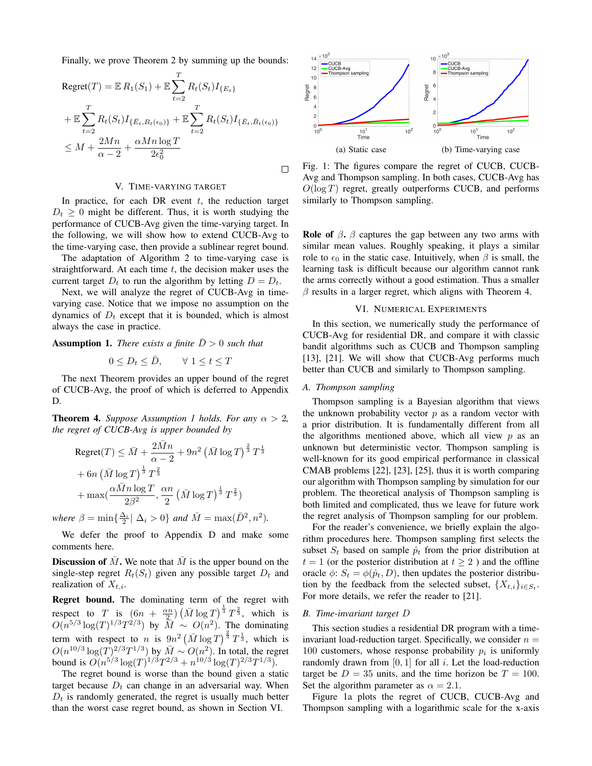Finally, we prove Theorem 2 by summing up the bounds:

Regret(T) = 
$$
\mathbb{E} R_1(S_1)
$$
 +  $\mathbb{E} \sum_{t=2}^T R_t(S_t) I_{\{E_t\}}$   
+  $\mathbb{E} \sum_{t=2}^T R_t(S_t) I_{\{E_t, B_t(\epsilon_0)\}} + \mathbb{E} \sum_{t=2}^T R_t(S_t) I_{\{E_t, B_t(\epsilon_0)\}}$   
≤  $M + \frac{2Mn}{\alpha - 2} + \frac{\alpha Mn \log T}{2\epsilon_0^2}$ 

#### V. TIME-VARYING TARGET

In practice, for each DR event  $t$ , the reduction target  $D_t \geq 0$  might be different. Thus, it is worth studying the performance of CUCB-Avg given the time-varying target. In the following, we will show how to extend CUCB-Avg to the time-varying case, then provide a sublinear regret bound.

The adaptation of Algorithm 2 to time-varying case is straightforward. At each time  $t$ , the decision maker uses the current target  $D_t$  to run the algorithm by letting  $D = D_t$ .

Next, we will analyze the regret of CUCB-Avg in timevarying case. Notice that we impose no assumption on the dynamics of  $D_t$  except that it is bounded, which is almost always the case in practice.

**Assumption 1.** *There exists a finite*  $\overline{D} > 0$  *such that* 

$$
0 \le D_t \le \bar{D}, \qquad \forall \ 1 \le t \le T
$$

The next Theorem provides an upper bound of the regret of CUCB-Avg, the proof of which is deferred to Appendix D.

**Theorem 4.** *Suppose Assumption 1 holds. For any*  $\alpha > 2$ , *the regret of CUCB-Avg is upper bounded by*

Regret
$$
(T)
$$
  $\leq \bar{M} + \frac{2\bar{M}n}{\alpha - 2} + 9n^2 (\bar{M} \log T)^{\frac{2}{3}} T^{\frac{1}{3}}$   
+  $6n (\bar{M} \log T)^{\frac{1}{3}} T^{\frac{2}{3}}$   
+  $\max(\frac{\alpha \bar{M}n \log T}{2\beta^2}, \frac{\alpha n}{2} (\bar{M} \log T)^{\frac{1}{3}} T^{\frac{2}{3}})$ 

*where*  $\beta = \min\{\frac{\Delta_i}{2} | \Delta_i > 0\}$  *and*  $\overline{M} = \max(\overline{D}^2, n^2)$ *.* 

We defer the proof to Appendix D and make some comments here.

**Discussion of M**. We note that M is the upper bound on the single-step regret  $R_t(S_t)$  given any possible target  $D_t$  and realization of  $X_{t,i}$ .

Regret bound. The dominating term of the regret with respect to T is  $(6n + \frac{\alpha n}{2}) (\overline{M} \log T)^{\frac{1}{3}} T^{\frac{2}{3}}$ , which is  $O(n^{5/3}\log(T)^{1/3}T^{2/3})$  by  $\overline{M} \sim O(n^2)$ . The dominating term with respect to n is  $9n^2 \left(\bar{M} \log T\right)^{\frac{2}{3}} T^{\frac{1}{3}}$ , which is  $O(n^{10/3} \log(T))^{2/3} T^{1/3}$  by  $\overline{M} \sim O(n^2)$ . In total, the regret bound is  $O(n^{5/3} \log(T)^{1/3} T^{2/3} + n^{10/3} \log(T)^{2/3} T^{1/3}).$ 

The regret bound is worse than the bound given a static target because  $D_t$  can change in an adversarial way. When  $D_t$  is randomly generated, the regret is usually much better than the worst case regret bound, as shown in Section VI.



Fig. 1: The figures compare the regret of CUCB, CUCB-Avg and Thompson sampling. In both cases, CUCB-Avg has  $O(\log T)$  regret, greatly outperforms CUCB, and performs similarly to Thompson sampling.

**Role of**  $\beta$ .  $\beta$  captures the gap between any two arms with similar mean values. Roughly speaking, it plays a similar role to  $\epsilon_0$  in the static case. Intuitively, when  $\beta$  is small, the learning task is difficult because our algorithm cannot rank the arms correctly without a good estimation. Thus a smaller  $\beta$  results in a larger regret, which aligns with Theorem 4.

#### VI. NUMERICAL EXPERIMENTS

In this section, we numerically study the performance of CUCB-Avg for residential DR, and compare it with classic bandit algorithms such as CUCB and Thompson sampling [13], [21]. We will show that CUCB-Avg performs much better than CUCB and similarly to Thompson sampling.

#### *A. Thompson sampling*

Thompson sampling is a Bayesian algorithm that views the unknown probability vector  $p$  as a random vector with a prior distribution. It is fundamentally different from all the algorithms mentioned above, which all view  $p$  as an unknown but deterministic vector. Thompson sampling is well-known for its good empirical performance in classical CMAB problems [22], [23], [25], thus it is worth comparing our algorithm with Thompson sampling by simulation for our problem. The theoretical analysis of Thompson sampling is both limited and complicated, thus we leave for future work the regret analysis of Thompson sampling for our problem.

For the reader's convenience, we briefly explain the algorithm procedures here. Thompson sampling first selects the subset  $S_t$  based on sample  $\hat{p}_t$  from the prior distribution at  $t = 1$  (or the posterior distribution at  $t \ge 2$ ) and the offline oracle  $\phi$ :  $S_t = \phi(\hat{p}_t, D)$ , then updates the posterior distribution by the feedback from the selected subset,  $\{X_{t,i}\}_{i \in S_t}$ . For more details, we refer the reader to [21].

# *B. Time-invariant target* D

This section studies a residential DR program with a timeinvariant load-reduction target. Specifically, we consider  $n =$ 100 customers, whose response probability  $p_i$  is uniformly randomly drawn from  $[0, 1]$  for all i. Let the load-reduction target be  $D = 35$  units, and the time horizon be  $T = 100$ . Set the algorithm parameter as  $\alpha = 2.1$ .

Figure 1a plots the regret of CUCB, CUCB-Avg and Thompson sampling with a logarithmic scale for the x-axis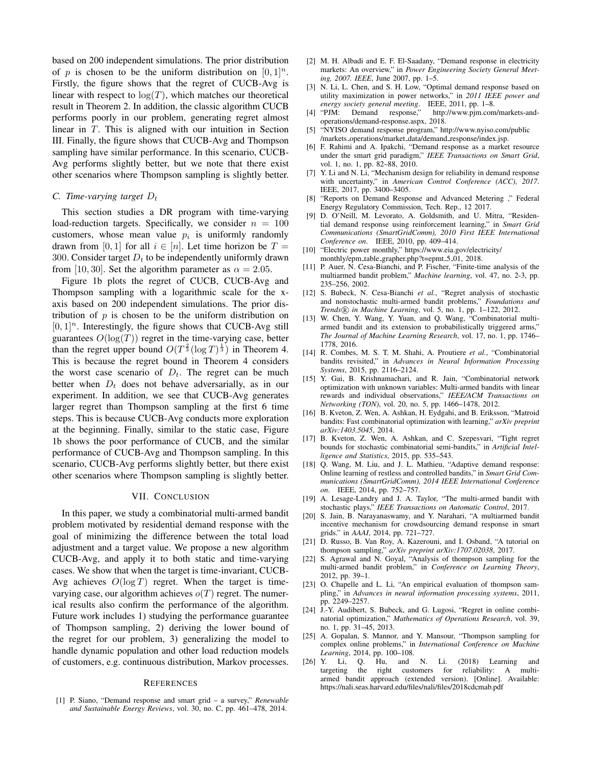based on 200 independent simulations. The prior distribution of p is chosen to be the uniform distribution on  $[0, 1]^n$ . Firstly, the figure shows that the regret of CUCB-Avg is linear with respect to  $log(T)$ , which matches our theoretical result in Theorem 2. In addition, the classic algorithm CUCB performs poorly in our problem, generating regret almost linear in T. This is aligned with our intuition in Section III. Finally, the figure shows that CUCB-Avg and Thompson sampling have similar performance. In this scenario, CUCB-Avg performs slightly better, but we note that there exist other scenarios where Thompson sampling is slightly better.

## *C. Time-varying target*  $D_t$

This section studies a DR program with time-varying load-reduction targets. Specifically, we consider  $n = 100$ customers, whose mean value  $p_i$  is uniformly randomly drawn from [0, 1] for all  $i \in [n]$ . Let time horizon be  $T =$ 300. Consider target  $D_t$  to be independently uniformly drawn from [10, 30]. Set the algorithm parameter as  $\alpha = 2.05$ .

Figure 1b plots the regret of CUCB, CUCB-Avg and Thompson sampling with a logarithmic scale for the xaxis based on 200 independent simulations. The prior distribution of  $p$  is chosen to be the uniform distribution on  $[0, 1]$ <sup>n</sup>. Interestingly, the figure shows that CUCB-Avg still guarantees  $O(\log(T))$  regret in the time-varying case, better than the regret upper bound  $O(T^{\frac{2}{3}}(\log T)^{\frac{1}{3}})$  in Theorem 4. This is because the regret bound in Theorem 4 considers the worst case scenario of  $D_t$ . The regret can be much better when  $D_t$  does not behave adversarially, as in our experiment. In addition, we see that CUCB-Avg generates larger regret than Thompson sampling at the first 6 time steps. This is because CUCB-Avg conducts more exploration at the beginning. Finally, similar to the static case, Figure 1b shows the poor performance of CUCB, and the similar performance of CUCB-Avg and Thompson sampling. In this scenario, CUCB-Avg performs slightly better, but there exist other scenarios where Thompson sampling is slightly better.

### VII. CONCLUSION

In this paper, we study a combinatorial multi-armed bandit problem motivated by residential demand response with the goal of minimizing the difference between the total load adjustment and a target value. We propose a new algorithm CUCB-Avg, and apply it to both static and time-varying cases. We show that when the target is time-invariant, CUCB-Avg achieves  $O(\log T)$  regret. When the target is timevarying case, our algorithm achieves  $o(T)$  regret. The numerical results also confirm the performance of the algorithm. Future work includes 1) studying the performance guarantee of Thompson sampling, 2) deriving the lower bound of the regret for our problem, 3) generalizing the model to handle dynamic population and other load reduction models of customers, e.g. continuous distribution, Markov processes.

#### **REFERENCES**

[1] P. Siano, "Demand response and smart grid – a survey," *Renewable and Sustainable Energy Reviews*, vol. 30, no. C, pp. 461–478, 2014.

- [2] M. H. Albadi and E. F. El-Saadany, "Demand response in electricity markets: An overview," in *Power Engineering Society General Meeting, 2007. IEEE*, June 2007, pp. 1–5.
- [3] N. Li, L. Chen, and S. H. Low, "Optimal demand response based on utility maximization in power networks," in *2011 IEEE power and energy society general meeting*. IEEE, 2011, pp. 1–8.
- [4] "PJM: Demand response," http://www.pjm.com/markets-andoperations/demand-response.aspx, 2018.
- [5] "NYISO demand response program," http://www.nyiso.com/public /markets operations/market data/demand response/index.jsp.
- [6] F. Rahimi and A. Ipakchi, "Demand response as a market resource under the smart grid paradigm," *IEEE Transactions on Smart Grid*, vol. 1, no. 1, pp. 82–88, 2010.
- [7] Y. Li and N. Li, "Mechanism design for reliability in demand response with uncertainty," in *American Control Conference (ACC), 2017*. IEEE, 2017, pp. 3400–3405.
- [8] "Reports on Demand Response and Advanced Metering ," Federal Energy Regulatory Commission, Tech. Rep., 12 2017.
- [9] D. O'Neill, M. Levorato, A. Goldsmith, and U. Mitra, "Residential demand response using reinforcement learning," in *Smart Grid Communications (SmartGridComm), 2010 First IEEE International Conference on*. IEEE, 2010, pp. 409–414.
- [10] "Electric power monthly," https://www.eia.gov/electricity/ monthly/epm\_table\_grapher.php?t=epmt\_5\_01, 2018.
- [11] P. Auer, N. Cesa-Bianchi, and P. Fischer, "Finite-time analysis of the multiarmed bandit problem," *Machine learning*, vol. 47, no. 2-3, pp. 235–256, 2002.
- [12] S. Bubeck, N. Cesa-Bianchi *et al.*, "Regret analysis of stochastic and nonstochastic multi-armed bandit problems," *Foundations and Trends* R *in Machine Learning*, vol. 5, no. 1, pp. 1–122, 2012.
- [13] W. Chen, Y. Wang, Y. Yuan, and Q. Wang, "Combinatorial multiarmed bandit and its extension to probabilistically triggered arms," *The Journal of Machine Learning Research*, vol. 17, no. 1, pp. 1746– 1778, 2016.
- [14] R. Combes, M. S. T. M. Shahi, A. Proutiere *et al.*, "Combinatorial bandits revisited," in *Advances in Neural Information Processing Systems*, 2015, pp. 2116–2124.
- [15] Y. Gai, B. Krishnamachari, and R. Jain, "Combinatorial network optimization with unknown variables: Multi-armed bandits with linear rewards and individual observations," *IEEE/ACM Transactions on Networking (TON)*, vol. 20, no. 5, pp. 1466–1478, 2012.
- [16] B. Kveton, Z. Wen, A. Ashkan, H. Eydgahi, and B. Eriksson, "Matroid bandits: Fast combinatorial optimization with learning," *arXiv preprint arXiv:1403.5045*, 2014.
- [17] B. Kveton, Z. Wen, A. Ashkan, and C. Szepesvari, "Tight regret bounds for stochastic combinatorial semi-bandits," in *Artificial Intelligence and Statistics*, 2015, pp. 535–543.
- [18] Q. Wang, M. Liu, and J. L. Mathieu, "Adaptive demand response: Online learning of restless and controlled bandits," in *Smart Grid Communications (SmartGridComm), 2014 IEEE International Conference on*. IEEE, 2014, pp. 752–757.
- [19] A. Lesage-Landry and J. A. Taylor, "The multi-armed bandit with stochastic plays," *IEEE Transactions on Automatic Control*, 2017.
- [20] S. Jain, B. Narayanaswamy, and Y. Narahari, "A multiarmed bandit incentive mechanism for crowdsourcing demand response in smart grids." in *AAAI*, 2014, pp. 721–727.
- [21] D. Russo, B. Van Roy, A. Kazerouni, and I. Osband, "A tutorial on thompson sampling," *arXiv preprint arXiv:1707.02038*, 2017.
- [22] S. Agrawal and N. Goyal, "Analysis of thompson sampling for the multi-armed bandit problem," in *Conference on Learning Theory*, 2012, pp. 39–1.
- [23] O. Chapelle and L. Li, "An empirical evaluation of thompson sampling," in *Advances in neural information processing systems*, 2011, pp. 2249–2257.
- [24] J.-Y. Audibert, S. Bubeck, and G. Lugosi, "Regret in online combinatorial optimization," *Mathematics of Operations Research*, vol. 39, no. 1, pp. 31–45, 2013.
- [25] A. Gopalan, S. Mannor, and Y. Mansour, "Thompson sampling for complex online problems," in *International Conference on Machine Learning*, 2014, pp. 100–108.
- [26] Y. Li, Q. Hu, and N. Li. (2018) Learning and targeting the right customers for reliability: A multiarmed bandit approach (extended version). [Online]. Available: https://nali.seas.harvard.edu/files/nali/files/2018cdcmab.pdf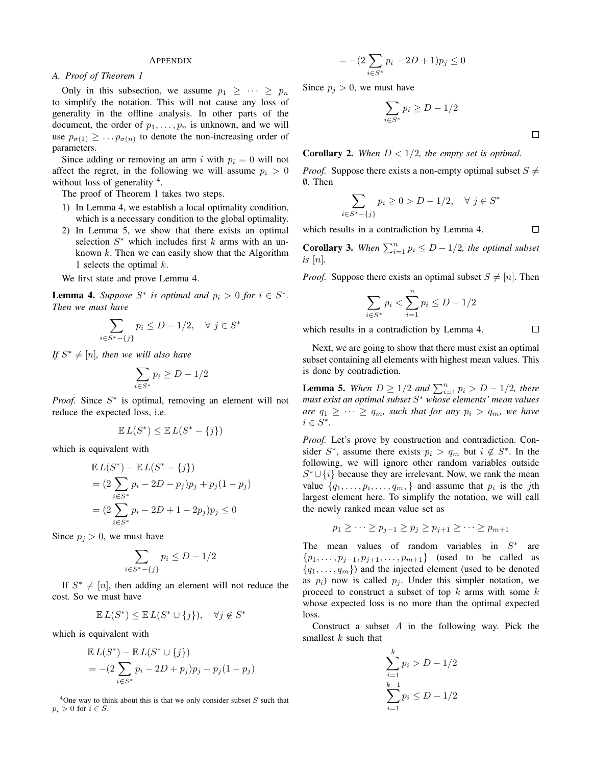## APPENDIX

# *A. Proof of Theorem 1*

Only in this subsection, we assume  $p_1 \geq \cdots \geq p_n$ to simplify the notation. This will not cause any loss of generality in the offline analysis. In other parts of the document, the order of  $p_1, \ldots, p_n$  is unknown, and we will use  $p_{\sigma(1)} \geq \ldots p_{\sigma(n)}$  to denote the non-increasing order of parameters.

Since adding or removing an arm i with  $p_i = 0$  will not affect the regret, in the following we will assume  $p_i > 0$ without loss of generality <sup>4</sup>.

The proof of Theorem 1 takes two steps.

- 1) In Lemma 4, we establish a local optimality condition, which is a necessary condition to the global optimality.
- 2) In Lemma 5, we show that there exists an optimal selection  $S^*$  which includes first k arms with an unknown  $k$ . Then we can easily show that the Algorithm 1 selects the optimal  $k$ .

We first state and prove Lemma 4.

**Lemma 4.** Suppose  $S^*$  is optimal and  $p_i > 0$  for  $i \in S^*$ . *Then we must have*

$$
\sum_{i \in S^* - \{j\}} p_i \le D - 1/2, \quad \forall \ j \in S^*
$$

*If*  $S^* \neq [n]$ *, then we will also have* 

$$
\sum_{i \in S^*} p_i \ge D - 1/2
$$

*Proof.* Since  $S^*$  is optimal, removing an element will not reduce the expected loss, i.e.

$$
\mathbb{E} L(S^*) \le \mathbb{E} L(S^* - \{j\})
$$

which is equivalent with

$$
\mathbb{E} L(S^*) - \mathbb{E} L(S^* - \{j\})
$$
  
=  $(2 \sum_{i \in S^*} p_i - 2D - p_j)p_j + p_j(1 - p_j)$   
=  $(2 \sum_{i \in S^*} p_i - 2D + 1 - 2p_j)p_j \le 0$ 

Since  $p_j > 0$ , we must have

$$
\sum_{i \in S^* - \{j\}} p_i \le D - 1/2
$$

If  $S^* \neq [n]$ , then adding an element will not reduce the cost. So we must have

$$
\mathbb{E} L(S^*) \le \mathbb{E} L(S^* \cup \{j\}), \quad \forall j \notin S^*
$$

which is equivalent with

$$
\mathbb{E} L(S^*) - \mathbb{E} L(S^* \cup \{j\})
$$
  
= -(2  $\sum_{i \in S^*} p_i - 2D + p_j)p_j - p_j(1 - p_j)$ 

 $4$ One way to think about this is that we only consider subset  $S$  such that  $p_i > 0$  for  $i \in S$ .

$$
= -(2\sum_{i \in S^*} p_i - 2D + 1)p_j \le 0
$$

Since  $p_i > 0$ , we must have

$$
\sum_{i \in S^*} p_i \ge D - 1/2
$$

**Corollary 2.** When  $D < 1/2$ , the empty set is optimal.

*Proof.* Suppose there exists a non-empty optimal subset  $S \neq$ ∅. Then

$$
\sum_{i \in S^* - \{j\}} p_i \ge 0 > D - 1/2, \quad \forall \ j \in S^*
$$

which results in a contradiction by Lemma 4.

**Corollary 3.** When  $\sum_{i=1}^{n} p_i \le D - 1/2$ , the optimal subset *is* [n]*.*

*Proof.* Suppose there exists an optimal subset  $S \neq [n]$ . Then

$$
\sum_{i \in S^*} p_i < \sum_{i=1}^n p_i \le D - 1/2
$$

which results in a contradiction by Lemma 4.

 $\Box$ 

 $\Box$ 

 $\Box$ 

Next, we are going to show that there must exist an optimal subset containing all elements with highest mean values. This is done by contradiction.

**Lemma 5.** When  $D \ge 1/2$  and  $\sum_{i=1}^{n} p_i > D - 1/2$ , there *must exist an optimal subset* S <sup>∗</sup> *whose elements' mean values are*  $q_1 \geq \cdots \geq q_m$ , such that for any  $p_i > q_m$ , we have  $i \in S^*$ .

*Proof.* Let's prove by construction and contradiction. Consider  $S^*$ , assume there exists  $p_i > q_m$  but  $i \notin S^*$ . In the following, we will ignore other random variables outside  $S^* \cup \{i\}$  because they are irrelevant. Now, we rank the mean value  $\{q_1, \ldots, p_i, \ldots, q_m\}$  and assume that  $p_i$  is the jth largest element here. To simplify the notation, we will call the newly ranked mean value set as

$$
p_1 \geq \cdots \geq p_{j-1} \geq p_j \geq p_{j+1} \geq \cdots \geq p_{m+1}
$$

The mean values of random variables in  $S^*$  are  $\{p_1, \ldots, p_{j-1}, p_{j+1}, \ldots, p_{m+1}\}\$  (used to be called as  $\{q_1, \ldots, q_m\}$  and the injected element (used to be denoted as  $p_i$ ) now is called  $p_i$ . Under this simpler notation, we proceed to construct a subset of top  $k$  arms with some  $k$ whose expected loss is no more than the optimal expected loss.

Construct a subset  $A$  in the following way. Pick the smallest  $k$  such that

$$
\sum_{i=1}^{k} p_i > D - 1/2
$$
  

$$
\sum_{i=1}^{k-1} p_i \le D - 1/2
$$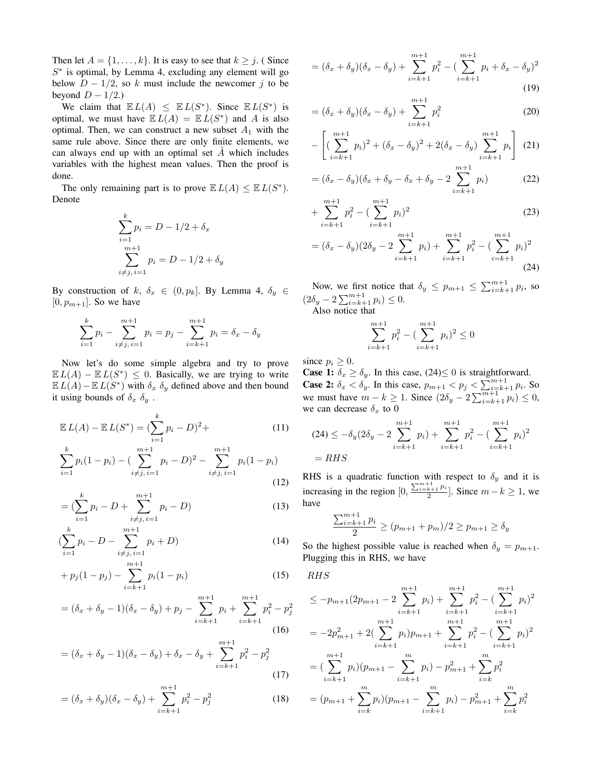Then let  $A = \{1, \ldots, k\}$ . It is easy to see that  $k \geq j$ . (Since  $S^*$  is optimal, by Lemma 4, excluding any element will go below  $D - 1/2$ , so k must include the newcomer j to be beyond  $D - 1/2$ .)

We claim that  $E L(A) \leq E L(S^*)$ . Since  $E L(S^*)$  is optimal, we must have  $E L(A) = E L(S^*)$  and A is also optimal. Then, we can construct a new subset  $A_1$  with the same rule above. Since there are only finite elements, we can always end up with an optimal set  $\overline{A}$  which includes variables with the highest mean values. Then the proof is done.

The only remaining part is to prove  $E L(A) \leq E L(S^*)$ . Denote

$$
\sum_{i=1}^{k} p_i = D - 1/2 + \delta_x
$$
  
\n
$$
\sum_{i \neq j, i=1}^{m+1} p_i = D - 1/2 + \delta_y
$$

By construction of k,  $\delta_x \in (0, p_k]$ . By Lemma 4,  $\delta_y \in$  $[0, p_{m+1}]$ . So we have

$$
\sum_{i=1}^{k} p_i - \sum_{i \neq j, i=1}^{m+1} p_i = p_j - \sum_{i=k+1}^{m+1} p_i = \delta_x - \delta_y
$$

Now let's do some simple algebra and try to prove  $\mathbb{E} L(A) - \mathbb{E} L(S^*) \leq 0$ . Basically, we are trying to write  $\mathbb{E} L(A) - \mathbb{E} L(S^*)$  with  $\delta_x \, \delta_y$  defined above and then bound it using bounds of  $\delta_x$   $\delta_y$ .

$$
\mathbb{E} L(A) - \mathbb{E} L(S^*) = (\sum_{i=1}^k p_i - D)^2 +
$$
\n
$$
\sum_{i=1}^k p_i (1 - p_i) - (\sum_{i=1}^{m+1} p_i - D)^2 - \sum_{i=1}^{m+1} p_i (1 - p_i)
$$
\n(11)

$$
\sum_{i=1} p_i (1 - p_i) - \left(\sum_{i \neq j, i=1} p_i - D\right)^2 - \sum_{i \neq j, i=1} p_i (1 - p_i)
$$
\n(12)

$$
= \left(\sum_{i=1}^{k} p_i - D + \sum_{i \neq j, i=1}^{m+1} p_i - D\right)
$$
 (13)

$$
(\sum_{i=1}^{k} p_i - D - \sum_{i \neq j, i=1}^{m+1} p_i + D) \tag{14}
$$

$$
+ p_j(1-p_j) - \sum_{i=k+1}^{m+1} p_i(1-p_i) \tag{15}
$$

$$
= (\delta_x + \delta_y - 1)(\delta_x - \delta_y) + p_j - \sum_{i=k+1}^{m+1} p_i + \sum_{i=k+1}^{m+1} p_i^2 - p_j^2
$$
\n(16)

$$
= (\delta_x + \delta_y - 1)(\delta_x - \delta_y) + \delta_x - \delta_y + \sum_{i=k+1}^{m+1} p_i^2 - p_j^2
$$
\n(17)

$$
= (\delta_x + \delta_y)(\delta_x - \delta_y) + \sum_{i=k+1}^{m+1} p_i^2 - p_j^2 \tag{18}
$$

$$
= (\delta_x + \delta_y)(\delta_x - \delta_y) + \sum_{i=k+1}^{m+1} p_i^2 - (\sum_{i=k+1}^{m+1} p_i + \delta_x - \delta_y)^2
$$
\n(19)

$$
= (\delta_x + \delta_y)(\delta_x - \delta_y) + \sum_{i=k+1}^{m+1} p_i^2
$$
 (20)

$$
-\left[ (\sum_{i=k+1}^{m+1} p_i)^2 + (\delta_x - \delta_y)^2 + 2(\delta_x - \delta_y) \sum_{i=k+1}^{m+1} p_i \right] (21)
$$

$$
= (\delta_x - \delta_y)(\delta_x + \delta_y - \delta_x + \delta_y - 2\sum_{i=k+1}^{m+1} p_i)
$$
 (22)

$$
+\sum_{i=k+1}^{m+1} p_i^2 - \left(\sum_{i=k+1}^{m+1} p_i\right)^2 \tag{23}
$$

$$
= (\delta_x - \delta_y)(2\delta_y - 2\sum_{i=k+1}^{m+1} p_i) + \sum_{i=k+1}^{m+1} p_i^2 - (\sum_{i=k+1}^{m+1} p_i)^2
$$
\n(24)

Now, we first notice that  $\delta_y \leq p_{m+1} \leq \sum_{i=k+1}^{m+1} p_i$ , so  $(2\delta_y - 2\sum_{i=k+1}^{m+1} p_i) \leq 0.$ 

Also notice that

$$
\sum_{i=k+1}^{m+1} p_i^2 - \left(\sum_{i=k+1}^{m+1} p_i\right)^2 \le 0
$$

since  $p_i \geq 0$ .

**Case 1:**  $\delta_x \ge \delta_y$ . In this case, (24) \le 0 is straightforward. **Case 2:**  $\delta_x < \delta_y$ . In this case,  $p_{m+1} < p_j < \sum_{i=k+1}^{m+1} p_i$ . So we must have  $m - k \ge 1$ . Since  $(2\delta_y - 2 \sum_{i=k+1}^{m+1} p_i) \le 0$ , we can decrease  $\delta_x$  to 0

$$
(24) \le -\delta_y (2\delta_y - 2\sum_{i=k+1}^{m+1} p_i) + \sum_{i=k+1}^{m+1} p_i^2 - (\sum_{i=k+1}^{m+1} p_i)^2
$$
  
= RHS

RHS is a quadratic function with respect to  $\delta_y$  and it is increasing in the region  $[0, \frac{\sum_{i=k+1}^{m+1} p_i}{2}]$ . Since  $m - k \ge 1$ , we have

$$
\frac{\sum_{i=k+1}^{m+1} p_i}{2} \ge (p_{m+1} + p_m)/2 \ge p_{m+1} \ge \delta_y
$$

So the highest possible value is reached when  $\delta_y = p_{m+1}$ . Plugging this in RHS, we have

RHS

$$
\leq -p_{m+1}(2p_{m+1} - 2\sum_{i=k+1}^{m+1} p_i) + \sum_{i=k+1}^{m+1} p_i^2 - (\sum_{i=k+1}^{m+1} p_i)^2
$$
  
=  $-2p_{m+1}^2 + 2(\sum_{i=k+1}^{m+1} p_i)p_{m+1} + \sum_{i=k+1}^{m+1} p_i^2 - (\sum_{i=k+1}^{m+1} p_i)^2$   
=  $(\sum_{i=k+1}^{m+1} p_i)(p_{m+1} - \sum_{i=k+1}^{m} p_i) - p_{m+1}^2 + \sum_{i=k}^{m} p_i^2$   
=  $(p_{m+1} + \sum_{i=k}^{m} p_i)(p_{m+1} - \sum_{i=k+1}^{m} p_i) - p_{m+1}^2 + \sum_{i=k}^{m} p_i^2$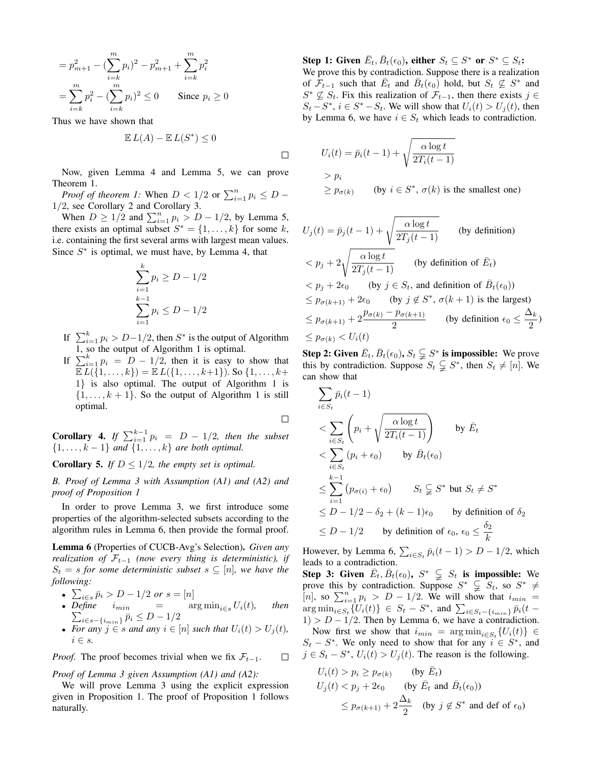$$
= p_{m+1}^2 - \left(\sum_{i=k}^m p_i\right)^2 - p_{m+1}^2 + \sum_{i=k}^m p_i^2
$$
  
= 
$$
\sum_{i=k}^m p_i^2 - \left(\sum_{i=k}^m p_i\right)^2 \le 0
$$
 Since  $p_i \ge 0$ 

Thus we have shown that

$$
\mathbb{E} L(A) - \mathbb{E} L(S^*) \le 0
$$

Now, given Lemma 4 and Lemma 5, we can prove Theorem 1.

*Proof of theorem 1:* When  $D < 1/2$  or  $\sum_{i=1}^{n} p_i \le D -$ 1/2, see Corollary 2 and Corollary 3.

When  $D \ge 1/2$  and  $\sum_{i=1}^{n} p_i > D - 1/2$ , by Lemma 5, there exists an optimal subset  $S^* = \{1, \ldots, k\}$  for some k, i.e. containing the first several arms with largest mean values. Since  $S^*$  is optimal, we must have, by Lemma 4, that

$$
\sum_{i=1}^{k} p_i \ge D - 1/2
$$
  

$$
\sum_{i=1}^{k-1} p_i \le D - 1/2
$$

- If  $\sum_{i=1}^{k} p_i > D 1/2$ , then  $S^*$  is the output of Algorithm 1, so the output of Algorithm 1 is optimal.
- If  $\sum_{i=1}^{k} p_i = D 1/2$ , then it is easy to show that  $\mathbb{E} L(\{1,\ldots,k\}) = \mathbb{E} L(\{1,\ldots,k+1\}).$  So  $\{1,\ldots,k+1\}$ 1} is also optimal. The output of Algorithm 1 is  $\{1, \ldots, k+1\}$ . So the output of Algorithm 1 is still optimal.

 $\Box$ 

 $\Box$ 

**Corollary 4.** If  $\sum_{i=1}^{k-1} p_i = D - 1/2$ , then the subset  $\{1, \ldots, k-1\}$  *and*  $\{1, \ldots, k\}$  *are both optimal.* 

**Corollary 5.** *If*  $D \leq 1/2$ *, the empty set is optimal.* 

*B. Proof of Lemma 3 with Assumption (A1) and (A2) and proof of Proposition 1*

In order to prove Lemma 3, we first introduce some properties of the algorithm-selected subsets according to the algorithm rules in Lemma 6, then provide the formal proof.

Lemma 6 (Properties of CUCB-Avg's Selection). *Given any realization of*  $\mathcal{F}_{t-1}$  (now every thing is deterministic), if  $S_t = s$  *for some deterministic subset*  $s \subseteq [n]$ *, we have the following:*

- $\sum_{i \in s} \bar{p}_i > D 1/2$  *or*  $s = [n]$
- *Define*  $i_{min}$  =  $arg min_{i \in s} U_i(t)$ *, then*  $\sum_{i \in s - \{i_{min}\}} \bar{p}_i \leq D - 1/2$
- For any  $j \in s$  and any  $i \in [n]$  such that  $U_i(t) > U_j(t)$ ,  $i \in s$ .

*Proof.* The proof becomes trivial when we fix  $\mathcal{F}_{t-1}$ .  $\Box$ 

*Proof of Lemma 3 given Assumption (A1) and (A2):*

We will prove Lemma 3 using the explicit expression given in Proposition 1. The proof of Proposition 1 follows naturally.

Step 1: Given  $\bar{E}_t$ ,  $\bar{B}_t(\epsilon_0)$ , either  $S_t \subseteq S^*$  or  $S^* \subseteq S_t$ : We prove this by contradiction. Suppose there is a realization of  $\mathcal{F}_{t-1}$  such that  $\bar{E}_t$  and  $\bar{B}_t(\epsilon_0)$  hold, but  $S_t \not\subseteq S^*$  and  $S^* \nsubseteq S_t$ . Fix this realization of  $\mathcal{F}_{t-1}$ , then there exists  $j \in$  $S_t - S^*$ ,  $i \in S^* - S_t$ . We will show that  $U_i(t) > U_j(t)$ , then by Lemma 6, we have  $i \in S_t$  which leads to contradiction.

$$
U_i(t) = \bar{p}_i(t-1) + \sqrt{\frac{\alpha \log t}{2T_i(t-1)}}
$$
  
>  $p_i$   
 $\ge p_{\sigma(k)}$  (by  $i \in S^*$ ,  $\sigma(k)$  is the smallest one)

$$
U_j(t) = \bar{p}_j(t-1) + \sqrt{\frac{\alpha \log t}{2T_j(t-1)}} \qquad \text{(by definition)}
$$
  
\n
$$
< p_j + 2\sqrt{\frac{\alpha \log t}{2T_j(t-1)}} \qquad \text{(by definition of } \bar{E}_t)
$$
  
\n
$$
< p_j + 2\epsilon_0 \qquad \text{(by } j \in S_t, \text{ and definition of } \bar{B}_t(\epsilon_0))
$$
  
\n
$$
\leq p_{\sigma(k+1)} + 2\epsilon_0 \qquad \text{(by } j \notin S^*, \sigma(k+1) \text{ is the largest})
$$
  
\n
$$
\leq p_{\sigma(k+1)} + 2\frac{p_{\sigma(k)} - p_{\sigma(k+1)}}{2} \qquad \text{(by definition } \epsilon_0 \leq \frac{\Delta_k}{2})
$$
  
\n
$$
\leq p_{\sigma(k)} < U_i(t)
$$

**Step 2:** Given  $\bar{E}_t$ ,  $\bar{B}_t(\epsilon_0)$ ,  $S_t \subsetneqq S^*$  is impossible: We prove this by contradiction. Suppose  $S_t \subsetneq S^*$ , then  $S_t \neq [n]$ . We can show that

$$
\sum_{i \in S_t} \bar{p}_i(t-1)
$$
\n
$$
< \sum_{i \in S_t} \left( p_i + \sqrt{\frac{\alpha \log t}{2T_i(t-1)}} \right) \quad \text{by } \bar{E}_t
$$
\n
$$
< \sum_{i \in S_t} (p_i + \epsilon_0) \quad \text{by } \bar{B}_t(\epsilon_0)
$$
\n
$$
\leq \sum_{i=1}^{k-1} (p_{\sigma(i)} + \epsilon_0) \quad S_t \subsetneqq S^* \text{ but } S_t \neq S^*
$$
\n
$$
\leq D - 1/2 - \delta_2 + (k - 1)\epsilon_0 \quad \text{by definition of } \delta_2
$$
\n
$$
\leq D - 1/2 \quad \text{by definition of } \epsilon_0, \epsilon_0 \leq \frac{\delta_2}{k}
$$

However, by Lemma 6,  $\sum_{i \in S_t} \bar{p}_i(t-1) > D - 1/2$ , which leads to a contradiction.

Step 3: Given  $\bar{E}_t$ ,  $\bar{B}_t(\epsilon_0)$ ,  $S^*$   $\subsetneqq$   $S_t$  is impossible: We prove this by contradiction. Suppose  $S^* \subsetneq S_t$ , so  $S^* \neq$ [n], so  $\sum_{i=1}^{n} p_i > D - 1/2$ . We will show that  $i_{min} =$  $\argmin_{i \in S_t} {\overline{U_i(t)}} \in S_t - S^*$ , and  $\sum_{i \in S_t - \{i_{min}\}} \overline{p}_i(t 1$ ) >  $D - 1/2$ . Then by Lemma 6, we have a contradiction.

Now first we show that  $i_{min} = \arg \min_{i \in S_t} \{U_i(t)\} \in$  $S_t - S^*$ . We only need to show that for any  $i \in S^*$ , and  $j \in S_t - S^*$ ,  $U_i(t) > U_j(t)$ . The reason is the following.

$$
U_i(t) > p_i \ge p_{\sigma(k)} \qquad \text{(by } \bar{E}_t)
$$
  
 
$$
U_j(t) < p_j + 2\epsilon_0 \qquad \text{(by } \bar{E}_t \text{ and } \bar{B}_t(\epsilon_0))
$$
  
 
$$
\le p_{\sigma(k+1)} + 2\frac{\Delta_k}{2} \qquad \text{(by } j \notin S^* \text{ and def of } \epsilon_0)
$$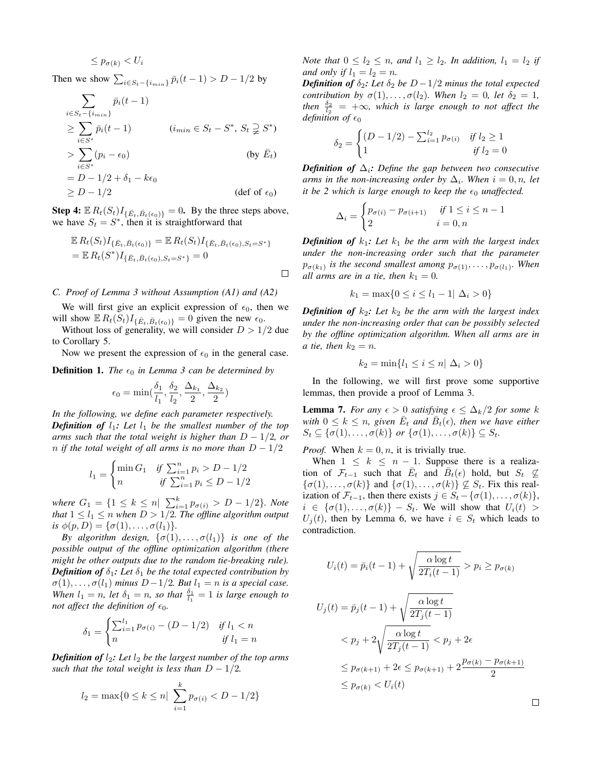$$
\leq p_{\sigma(k)} < U_i
$$

Then we show  $\sum_{i \in S_t - \{i_{min}\}} \bar{p}_i(t-1) > D - 1/2$  by

$$
\sum_{i \in S_t - \{i_{min}\}} \bar{p}_i(t-1)
$$
\n
$$
\geq \sum_{i \in S^*} \bar{p}_i(t-1) \qquad (i_{min} \in S_t - S^*, S_t \supsetneq S^*)
$$
\n
$$
> \sum_{i \in S^*} (p_i - \epsilon_0) \qquad \qquad \text{(by } \bar{E}_t)
$$
\n
$$
= D - 1/2 + \delta_1 - k\epsilon_0
$$
\n
$$
\geq D - 1/2 \qquad \qquad \text{(def of } \epsilon_0)
$$

**Step 4:**  $\mathbb{E} R_t(S_t) I_{\{\bar{E}_t, \bar{B}_t(\epsilon_0)\}} = 0$ . By the three steps above, we have  $S_t = S^*$ , then it is straightforward that

$$
\mathbb{E} R_t(S_t) I_{\{\bar{E}_t, \bar{B}_t(\epsilon_0)\}} = \mathbb{E} R_t(S_t) I_{\{\bar{E}_t, \bar{B}_t(\epsilon_0), S_t = S^*\}}
$$
  
=  $\mathbb{E} R_t(S^*) I_{\{\bar{E}_t, \bar{B}_t(\epsilon_0), S_t = S^*\}} = 0$ 

 $\Box$ 

# *C. Proof of Lemma 3 without Assumption (A1) and (A2)*

We will first give an explicit expression of  $\epsilon_0$ , then we will show  $\mathbb{E} R_t(S_t) I_{\{\bar{E}_t, \bar{B}_t(\epsilon_0)\}} = 0$  given the new  $\epsilon_0$ .

Without loss of generality, we will consider  $D > 1/2$  due to Corollary 5.

Now we present the expression of  $\epsilon_0$  in the general case.

**Definition 1.** *The*  $\epsilon_0$  *in Lemma 3 can be determined by* 

$$
\epsilon_0 = \min(\frac{\delta_1}{l_1}, \frac{\delta_2}{l_2}, \frac{\Delta_{k_1}}{2}, \frac{\Delta_{k_2}}{2})
$$

*In the following, we define each parameter respectively. Definition of*  $l_1$ *: Let*  $l_1$  *be the smallest number of the top arms such that the total weight is higher than*  $D - 1/2$ *, or n if the total weight of all arms is no more than*  $D - 1/2$ 

$$
l_1 = \begin{cases} \min G_1 & \text{if } \sum_{i=1}^n p_i > D - 1/2 \\ n & \text{if } \sum_{i=1}^n p_i \le D - 1/2 \end{cases}
$$

*where*  $G_1 = \{1 \leq k \leq n | \sum_{i=1}^k p_{\sigma(i)} > D - 1/2\}$ *. Note that*  $1 \leq l_1 \leq n$  *when*  $D > 1/2$ *. The offline algorithm output is*  $\phi(p, D) = {\{\sigma(1), \ldots, \sigma(l_1)\}.$ 

*By algorithm design,*  $\{\sigma(1), \ldots, \sigma(l_1)\}$  *is one of the possible output of the offline optimization algorithm (there might be other outputs due to the random tie-breaking rule). Definition of*  $\delta_1$ *: Let*  $\delta_1$  *be the total expected contribution by*  $\sigma(1), \ldots, \sigma(l_1)$  *minus*  $D-1/2$ *. But*  $l_1 = n$  *is a special case. When*  $l_1 = n$ , *let*  $\delta_1 = n$ , *so that*  $\frac{\delta_1}{l_1} = 1$  *is large enough to not affect the definition of*  $\epsilon_0$ *.* 

$$
\delta_1 = \begin{cases} \sum_{i=1}^{l_1} p_{\sigma(i)} - (D - 1/2) & \text{if } l_1 < n \\ n & \text{if } l_1 = n \end{cases}
$$

*Definition of*  $l_2$ *: Let*  $l_2$  *be the largest number of the top arms such that the total weight is less than*  $D - 1/2$ *.* 

$$
l_2 = \max\{0 \le k \le n | \sum_{i=1}^{k} p_{\sigma(i)} < D - 1/2\}
$$

*Note that*  $0 \leq l_2 \leq n$ , and  $l_1 \geq l_2$ . In addition,  $l_1 = l_2$  if *and only if*  $l_1 = l_2 = n$ .

*Definition of*  $\delta_2$ *: Let*  $\delta_2$  *be*  $D-1/2$  *minus the total expected contribution by*  $\sigma(1), \ldots, \sigma(l_2)$ *. When*  $l_2 = 0$ *, let*  $\delta_2 = 1$ *,* then  $\frac{\delta_2}{l_2}$  =  $+\infty$ *, which is large enough to not affect the definition of*  $\epsilon_0$ 

$$
\delta_2 = \begin{cases}\n(D - 1/2) - \sum_{i=1}^{l_2} p_{\sigma(i)} & \text{if } l_2 \ge 1 \\
1 & \text{if } l_2 = 0\n\end{cases}
$$

*Definition of*  $\Delta_i$ *: Define the gap between two consecutive arms in the non-increasing order by*  $\Delta_i$ *. When*  $i = 0, n$ *, let it be 2 which is large enough to keep the*  $\epsilon_0$  *unaffected.* 

$$
\Delta_i = \begin{cases} p_{\sigma(i)} - p_{\sigma(i+1)} & \text{if } 1 \le i \le n-1 \\ 2 & \text{if } i = 0, n \end{cases}
$$

*Definition of*  $k_1$ *: Let*  $k_1$  *be the arm with the largest index under the non-increasing order such that the parameter*  $p_{\sigma(k_1)}$  is the second smallest among  $p_{\sigma(1)}, \ldots, p_{\sigma(l_1)}$ . When *all arms are in a tie, then*  $k_1 = 0$ *.* 

$$
k_1 = \max\{0 \le i \le l_1 - 1 | \Delta_i > 0\}
$$

*Definition of*  $k_2$ *: Let*  $k_2$  *be the arm with the largest index under the non-increasing order that can be possibly selected by the offline optimization algorithm. When all arms are in a tie*, *then*  $k_2 = n$ .

$$
k_2 = \min\{l_1 \le i \le n | \Delta_i > 0\}
$$

In the following, we will first prove some supportive lemmas, then provide a proof of Lemma 3.

**Lemma 7.** *For any*  $\epsilon > 0$  *satisfying*  $\epsilon \leq \Delta_k/2$  *for some* k with  $0 \leq k \leq n$ , given  $\overline{E}_t$  and  $\overline{B}_t(\epsilon)$ , then we have either  $S_t \subseteq \{\sigma(1), \ldots, \sigma(k)\}\$  or  $\{\sigma(1), \ldots, \sigma(k)\} \subseteq S_t$ .

*Proof.* When  $k = 0, n$ , it is trivially true.

 $\leq p_{\sigma(k)} < U_i(t)$ 

When  $1 \leq k \leq n-1$ . Suppose there is a realization of  $\mathcal{F}_{t-1}$  such that  $\overline{E}_t$  and  $\overline{B}_t(\epsilon)$  hold, but  $S_t \not\subseteq$  $\{\sigma(1), \ldots, \sigma(k)\}\$ and  $\{\sigma(1), \ldots, \sigma(k)\}\nsubseteq S_t$ . Fix this realization of  $\mathcal{F}_{t-1}$ , then there exists  $j \in S_t - \{\sigma(1), \ldots, \sigma(k)\},$  $i \in \{\sigma(1), \ldots, \sigma(k)\}$  –  $S_t$ . We will show that  $U_i(t)$  $U_i(t)$ , then by Lemma 6, we have  $i \in S_t$  which leads to contradiction.

$$
U_i(t) = \bar{p}_i(t-1) + \sqrt{\frac{\alpha \log t}{2T_i(t-1)}} > p_i \ge p_{\sigma(k)}
$$
  

$$
U_j(t) = \bar{p}_j(t-1) + \sqrt{\frac{\alpha \log t}{2T_j(t-1)}}
$$
  

$$
< p_j + 2\sqrt{\frac{\alpha \log t}{2T_j(t-1)}} < p_j + 2\epsilon
$$
  

$$
\le p_{\sigma(k+1)} + 2\epsilon \le p_{\sigma(k+1)} + 2\frac{p_{\sigma(k)} - p_{\sigma(k+1)}}{2}
$$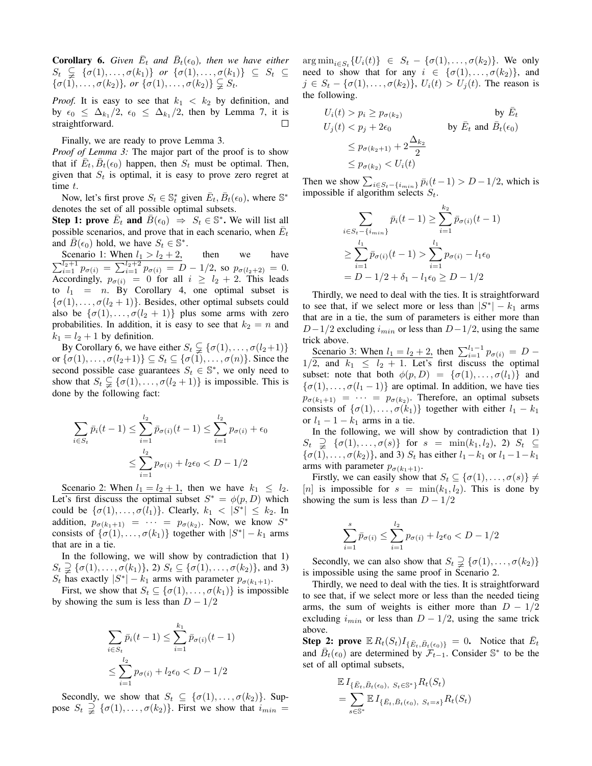**Corollary 6.** Given  $\overline{E}_t$  and  $\overline{B}_t(\epsilon_0)$ , then we have either  $S_t \subseteqneq {\sigma(1), \ldots, \sigma(k_1)}$  *or*  ${\sigma(1), \ldots, \sigma(k_1)} \subseteq S_t \subseteq$  $\{\sigma(1), \ldots, \sigma(k_2)\}\text{, or } \{\sigma(1), \ldots, \sigma(k_2)\} \subsetneq S_t.$ 

*Proof.* It is easy to see that  $k_1 < k_2$  by definition, and by  $\epsilon_0 \leq \Delta_{k_1}/2$ ,  $\epsilon_0 \leq \Delta_{k_1}/2$ , then by Lemma 7, it is straightforward.  $\Box$ 

Finally, we are ready to prove Lemma 3.

*Proof of Lemma 3:* The major part of the proof is to show that if  $\overline{E}_t$ ,  $\overline{B}_t(\epsilon_0)$  happen, then  $S_t$  must be optimal. Then, given that  $S_t$  is optimal, it is easy to prove zero regret at time t.

Now, let's first prove  $S_t \in \mathbb{S}_t^*$  given  $\overline{E}_t$ ,  $\overline{B}_t(\epsilon_0)$ , where  $\mathbb{S}^*$ denotes the set of all possible optimal subsets.

**Step 1: prove**  $\overline{E}_t$  and  $\overline{B}(\epsilon_0) \rightarrow S_t \in \mathbb{S}^*$ . We will list all possible scenarios, and prove that in each scenario, when  $\bar{E}_t$ and  $\overline{B}(\epsilon_0)$  hold, we have  $S_t \in \mathbb{S}^*$ .

Scenario 1: When  $l_1 > l_2 + 2$ , then we have  $\sum_{i=1}^{l_2+1} p_{\sigma(i)} = \sum_{i=1}^{l_2+2} p_{\sigma(i)} = D - 1/2$ , so  $p_{\sigma(l_2+2)} = 0$ . Accordingly,  $p_{\sigma(i)} = 0$  for all  $i \geq l_2 + 2$ . This leads to  $l_1$  = n. By Corollary 4, one optimal subset is  $\{\sigma(1), \ldots, \sigma(l_2+1)\}\)$ . Besides, other optimal subsets could also be  $\{\sigma(1), \ldots, \sigma(l_2 + 1)\}\$  plus some arms with zero probabilities. In addition, it is easy to see that  $k_2 = n$  and  $k_1 = l_2 + 1$  by definition.

By Corollary 6, we have either  $S_t \subsetneq {\sigma(1), \ldots, \sigma(l_2+1)}$ or  $\{\sigma(1), \ldots, \sigma(l_2+1)\} \subseteq S_t \subseteq \{\sigma(1), \ldots, \sigma(n)\}\.$  Since the second possible case guarantees  $S_t \in \mathbb{S}^*$ , we only need to show that  $S_t \subsetneq {\sigma(1), \ldots, \sigma(l_2+1)}$  is impossible. This is done by the following fact:

$$
\sum_{i \in S_t} \bar{p}_i(t-1) \le \sum_{i=1}^{l_2} \bar{p}_{\sigma(i)}(t-1) \le \sum_{i=1}^{l_2} p_{\sigma(i)} + \epsilon_0
$$
  

$$
\le \sum_{i=1}^{l_2} p_{\sigma(i)} + l_2 \epsilon_0 < D - 1/2
$$

Scenario 2: When  $l_1 = l_2 + 1$ , then we have  $k_1 \leq l_2$ . Let's first discuss the optimal subset  $S^* = \phi(p, D)$  which could be  $\{\sigma(1), \ldots, \sigma(l_1)\}\)$ . Clearly,  $k_1 < |S^*| \leq k_2$ . In addition,  $p_{\sigma(k_1+1)} = \cdots = p_{\sigma(k_2)}$ . Now, we know  $S^*$ consists of  $\{\sigma(1), \ldots, \sigma(k_1)\}\)$  together with  $|S^*| - k_1$  arms that are in a tie.

In the following, we will show by contradiction that 1)  $S_t \supsetneq {\sigma(1), \ldots, \sigma(k_1)}$ , 2)  $S_t \subseteq {\sigma(1), \ldots, \sigma(k_2)}$ , and 3)  $S_t$  has exactly  $|S^*| - k_1$  arms with parameter  $p_{\sigma(k_1+1)}$ .

First, we show that  $S_t \subseteq \{ \sigma(1), \ldots, \sigma(k_1) \}$  is impossible by showing the sum is less than  $D - 1/2$ 

$$
\sum_{i \in S_t} \bar{p}_i(t-1) \le \sum_{i=1}^{k_1} \bar{p}_{\sigma(i)}(t-1)
$$
  

$$
\le \sum_{i=1}^{l_2} p_{\sigma(i)} + l_2 \epsilon_0 < D - 1/2
$$

Secondly, we show that  $S_t \subseteq \{\sigma(1), \ldots, \sigma(k_2)\}\)$ . Suppose  $S_t \supsetneq {\sigma(1), \ldots, \sigma(k_2)}$ . First we show that  $i_{min} =$ 

 $\arg \min_{i \in S_t} \{U_i(t)\} \in S_t - \{\sigma(1), \ldots, \sigma(k_2)\}.$  We only need to show that for any  $i \in \{\sigma(1), \ldots, \sigma(k_2)\}\$ , and  $j \in S_t - \{\sigma(1), \ldots, \sigma(k_2)\}\,$ ,  $U_i(t) > U_i(t)$ . The reason is the following.

$$
U_i(t) > p_i \ge p_{\sigma(k_2)}
$$
  
\n
$$
U_j(t) < p_j + 2\epsilon_0
$$
  
\n
$$
\le p_{\sigma(k_2+1)} + 2\frac{\Delta_{k_2}}{2}
$$
  
\n
$$
\le p_{\sigma(k_2)} < U_i(t)
$$
  
\nby  $\overline{E}_t$  and  $\overline{B}_t(\epsilon_0)$   
\nby  $\overline{E}_t$  and  $\overline{B}_t(\epsilon_0)$ 

Then we show  $\sum_{i \in S_t - \{i_{min}\}} \bar{p}_i(t-1) > D - 1/2$ , which is impossible if algorithm selects  $S_t$ .

$$
\sum_{i \in S_t - \{i_{min}\}} \bar{p}_i(t-1) \ge \sum_{i=1}^{k_2} \bar{p}_{\sigma(i)}(t-1)
$$

$$
\ge \sum_{i=1}^{l_1} \bar{p}_{\sigma(i)}(t-1) > \sum_{i=1}^{l_1} p_{\sigma(i)} - l_1 \epsilon_0
$$

$$
= D - 1/2 + \delta_1 - l_1 \epsilon_0 \ge D - 1/2
$$

Thirdly, we need to deal with the ties. It is straightforward to see that, if we select more or less than  $|S^*| - k_1$  arms that are in a tie, the sum of parameters is either more than  $D-1/2$  excluding  $i_{min}$  or less than  $D-1/2$ , using the same trick above.

Scenario 3: When  $l_1 = l_2 + 2$ , then  $\sum_{i=1}^{l_1-1} p_{\sigma(i)} = D 1/2$ , and  $k_1 \leq l_2 + 1$ . Let's first discuss the optimal subset: note that both  $\phi(p, D) = {\sigma(1), \ldots, \sigma(l_1)}$  and  $\{\sigma(1), \ldots, \sigma(l_1-1)\}\$  are optimal. In addition, we have ties  $p_{\sigma(k_1+1)} = \cdots = p_{\sigma(k_2)}$ . Therefore, an optimal subsets consists of  $\{\sigma(1), \ldots, \sigma(k_1)\}\$  together with either  $l_1 - k_1$ or  $l_1 - 1 - k_1$  arms in a tie.

In the following, we will show by contradiction that 1)  $S_t \supsetneq {\sigma(1), \ldots, \sigma(s)}$  for  $s = \min(k_1, l_2), 2$   $S_t \subseteq$  $\{\sigma(1), \ldots, \sigma(k_2)\}\$ , and 3)  $S_t$  has either  $l_1-k_1$  or  $l_1-1-k_1$ arms with parameter  $p_{\sigma(k_1+1)}$ .

Firstly, we can easily show that  $S_t \subseteq {\sigma(1), \ldots, \sigma(s)} \neq$ [n] is impossible for  $s = \min(k_1, l_2)$ . This is done by showing the sum is less than  $D - 1/2$ 

$$
\sum_{i=1}^{s} \bar{p}_{\sigma(i)} \le \sum_{i=1}^{l_2} p_{\sigma(i)} + l_2 \epsilon_0 < D - 1/2
$$

Secondly, we can also show that  $S_t \supsetneq {\sigma(1), \ldots, \sigma(k_2)}$ is impossible using the same proof in Scenario 2.

Thirdly, we need to deal with the ties. It is straightforward to see that, if we select more or less than the needed tieing arms, the sum of weights is either more than  $D - 1/2$ excluding  $i_{min}$  or less than  $D - 1/2$ , using the same trick above.

**Step 2: prove**  $\mathbb{E} R_t(S_t) I_{\{\bar{E}_t, \bar{B}_t(\epsilon_0)\}} = 0$ . Notice that  $\bar{E}_t$ and  $\bar{B}_t(\epsilon_0)$  are determined by  $\mathcal{F}_{t-1}$ . Consider S<sup>\*</sup> to be the set of all optimal subsets,

$$
\mathbb{E} I_{\{\bar{E}_t, \bar{B}_t(\epsilon_0), S_t \in \mathbb{S}^* \}} R_t(S_t)
$$
  
= 
$$
\sum_{s \in \mathbb{S}^*} \mathbb{E} I_{\{\bar{E}_t, \bar{B}_t(\epsilon_0), S_t = s\}} R_t(S_t)
$$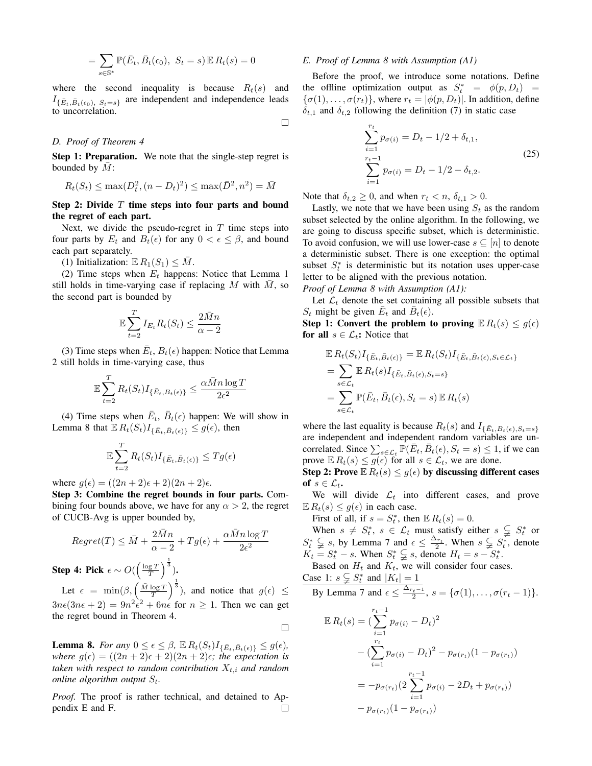$$
= \sum_{s \in \mathbb{S}^*} \mathbb{P}(\bar{E}_t, \bar{B}_t(\epsilon_0), \ S_t = s) \mathbb{E} R_t(s) = 0
$$

where the second inequality is because  $R_t(s)$  and  $I_{\{\bar{E}_t, \bar{B}_t(\epsilon_0), S_t=s\}}$  are independent and independence leads to uncorrelation.

 $\Box$ 

#### *D. Proof of Theorem 4*

Step 1: Preparation. We note that the single-step regret is bounded by  $M$ :

$$
R_t(S_t) \le \max(D_t^2, (n - D_t)^2) \le \max(\bar{D}^2, n^2) = \bar{M}
$$

# Step 2: Divide  $T$  time steps into four parts and bound the regret of each part.

Next, we divide the pseudo-regret in  $T$  time steps into four parts by  $E_t$  and  $B_t(\epsilon)$  for any  $0 < \epsilon \leq \beta$ , and bound each part separately.

(1) Initialization:  $\mathbb{E} R_1(S_1) \leq M$ .

(2) Time steps when  $E_t$  happens: Notice that Lemma 1 still holds in time-varying case if replacing  $M$  with  $\overline{M}$ , so the second part is bounded by

$$
\mathbb{E}\sum_{t=2}^{T}I_{E_t}R_t(S_t) \leq \frac{2\bar{M}n}{\alpha - 2}
$$

(3) Time steps when  $\bar{E}_t$ ,  $B_t(\epsilon)$  happen: Notice that Lemma 2 still holds in time-varying case, thus

$$
\mathbb{E}\sum_{t=2}^T R_t(S_t)I_{\{\bar{E}_t,B_t(\epsilon)\}} \leq \frac{\alpha\bar{M}n\log T}{2\epsilon^2}
$$

(4) Time steps when  $\bar{E}_t$ ,  $\bar{B}_t(\epsilon)$  happen: We will show in Lemma 8 that  $\mathbb{E} R_t(S_t) I_{\{\bar{E}_t, \bar{B}_t(\epsilon)\}} \leq g(\epsilon)$ , then

$$
\mathbb{E}\sum_{t=2}^{T} R_t(S_t) I_{\{\bar{E}_t, \bar{B}_t(\epsilon)\}} \leq Tg(\epsilon)
$$

where  $g(\epsilon) = ((2n+2)\epsilon + 2)(2n+2)\epsilon$ .

Step 3: Combine the regret bounds in four parts. Combining four bounds above, we have for any  $\alpha > 2$ , the regret of CUCB-Avg is upper bounded by,

$$
Regret(T) \leq \bar{M} + \frac{2\bar{M}n}{\alpha - 2} + Tg(\epsilon) + \frac{\alpha \bar{M}n \log T}{2\epsilon^2}
$$

Step 4: Pick  $\epsilon \sim O(\left(\frac{\log T}{T}\right)^{\frac{1}{3}})$ .

Let  $\epsilon = \min(\beta, \left(\frac{\overline{M} \log T}{T}\right)^{\frac{1}{3}})$ , and notice that  $g(\epsilon) \le$  $3n\epsilon(3n\epsilon + 2) = 9n^2\dot{\epsilon}^2 + 6n\dot{\epsilon}$  for  $n \ge 1$ . Then we can get the regret bound in Theorem 4.  $\Box$ 

**Lemma 8.** *For any*  $0 \le \epsilon \le \beta$ ,  $\mathbb{E} R_t(S_t)I_{\{\bar{E}_t, \bar{B}_t(\epsilon)\}} \le g(\epsilon)$ , *where*  $g(\epsilon) = ((2n + 2)\epsilon + 2)(2n + 2)\epsilon$ ; the expectation is *taken with respect to random contribution*  $X_{t,i}$  *and random online algorithm output*  $S_t$ .

*Proof.* The proof is rather technical, and detained to Ap- $\Box$ pendix E and F.

#### *E. Proof of Lemma 8 with Assumption (A1)*

Before the proof, we introduce some notations. Define the offline optimization output as  $S_t^* = \phi(p, D_t) =$  $\{\sigma(1), \ldots, \sigma(r_t)\}\$ , where  $r_t = |\phi(p, D_t)|\$ . In addition, define  $\delta_{t,1}$  and  $\delta_{t,2}$  following the definition (7) in static case

$$
\sum_{i=1}^{r_t} p_{\sigma(i)} = D_t - 1/2 + \delta_{t,1},
$$
  
\n
$$
\sum_{i=1}^{r_t - 1} p_{\sigma(i)} = D_t - 1/2 - \delta_{t,2}.
$$
\n(25)

Note that  $\delta_{t,2} \geq 0$ , and when  $r_t < n$ ,  $\delta_{t,1} > 0$ .

Lastly, we note that we have been using  $S_t$  as the random subset selected by the online algorithm. In the following, we are going to discuss specific subset, which is deterministic. To avoid confusion, we will use lower-case  $s \subseteq [n]$  to denote a deterministic subset. There is one exception: the optimal subset  $S_t^*$  is deterministic but its notation uses upper-case letter to be aligned with the previous notation.

*Proof of Lemma 8 with Assumption (A1):*

Let  $\mathcal{L}_t$  denote the set containing all possible subsets that  $S_t$  might be given  $\overline{E}_t$  and  $\overline{B}_t(\epsilon)$ .

Step 1: Convert the problem to proving  $\mathbb{E} R_t(s) \leq g(\epsilon)$ for all  $s \in \mathcal{L}_t$ : Notice that

$$
\mathbb{E} R_t(S_t) I_{\{\bar{E}_t, \bar{B}_t(\epsilon)\}} = \mathbb{E} R_t(S_t) I_{\{\bar{E}_t, \bar{B}_t(\epsilon), S_t \in \mathcal{L}_t\}}
$$
\n
$$
= \sum_{s \in \mathcal{L}_t} \mathbb{E} R_t(s) I_{\{\bar{E}_t, \bar{B}_t(\epsilon), S_t = s\}}
$$
\n
$$
= \sum_{s \in \mathcal{L}_t} \mathbb{P}(\bar{E}_t, \bar{B}_t(\epsilon), S_t = s) \mathbb{E} R_t(s)
$$

where the last equality is because  $R_t(s)$  and  $I_{\{\bar{E}_t, B_t(\epsilon), S_t=s\}}$ are independent and independent random variables are uncorrelated. Since  $\sum_{s \in \mathcal{L}_t} \mathbb{P}(\bar{E}_t, \bar{B}_t(\epsilon), S_t = s) \leq 1$ , if we can prove  $\mathbb{E} R_t(s) \leq g(\epsilon)$  for all  $s \in \mathcal{L}_t$ , we are done.

Step 2: Prove  $\mathbb{E} R_t(s) \leq g(\epsilon)$  by discussing different cases of  $s \in \mathcal{L}_{t}$ .

We will divide  $\mathcal{L}_t$  into different cases, and prove  $\mathbb{E} R_t(s) \leq g(\epsilon)$  in each case.

First of all, if  $s = S_t^*$ , then  $\mathbb{E} R_t(s) = 0$ .

When  $s \neq S_t^*$ ,  $s \in \mathcal{L}_t$  must satisfy either  $s \subsetneqq S_t^*$  or  $S_t^* \subsetneq s$ , by Lemma 7 and  $\epsilon \leq \frac{\Delta_{r_t}}{2}$ . When  $s \subsetneq S_t^*$ , denote  $K_t = S_t^* - s$ . When  $S_t^* \subsetneq s$ , denote  $H_t = s - S_t^*$ .

Based on  $H_t$  and  $K_t$ , we will consider four cases.

Case 1:  $s \subsetneq S_t^*$  and  $|K_t| = 1$ By Lemma 7 and  $\epsilon \leq \frac{\Delta_{r_t-1}}{2}$ ,  $s = {\sigma(1), \ldots, \sigma(r_t-1)}$ .  $\mathbb{E} R_t(s) =$  (  $\sum_{k=1}^{r_t-1}$  $i=1$  $p_{\sigma(i)} - D_t)^2$  $-\left(\sum_{i=1}^{r_t}\right)$  $i=1$  $p_{\sigma(i)} - D_t)^2 - p_{\sigma(r_t)}(1 - p_{\sigma(r_t)})$  $=-p_{\sigma(r_t)}(2)$  $\sum_{ }^{r_t-1}$  $i=1$  $p_{\sigma(i)} - 2D_t + p_{\sigma(r_t)})$  $-p_{\sigma(r_t)}(1-p_{\sigma(r_t)})$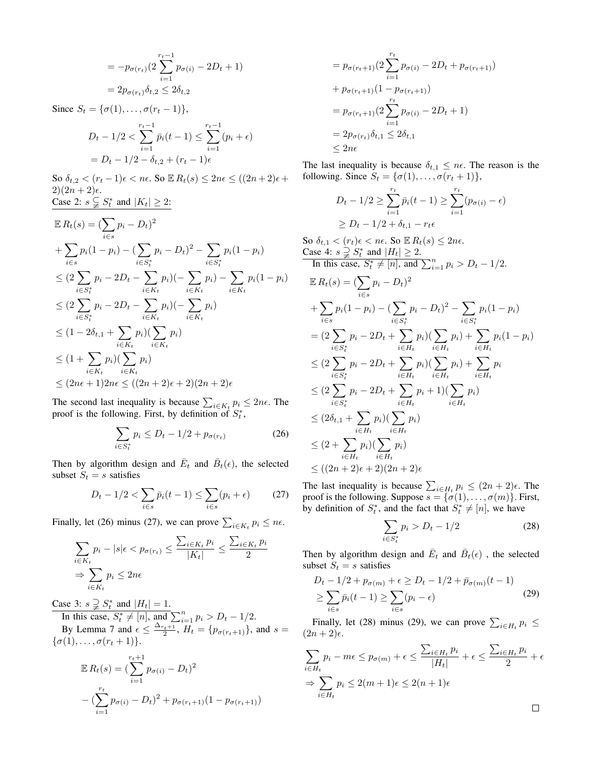$$
= -p_{\sigma(r_t)} \left( 2 \sum_{i=1}^{r_t - 1} p_{\sigma(i)} - 2D_t + 1 \right)
$$
  
=  $2p_{\sigma(r_t)} \delta_{t,2} \le 2\delta_{t,2}$ 

Since  $S_t = \{\sigma(1), \ldots, \sigma(r_t-1)\},\$ 

$$
D_t - 1/2 < \sum_{i=1}^{r_t - 1} \bar{p}_i(t-1) \le \sum_{i=1}^{r_t - 1} (p_i + \epsilon)
$$
  
=  $D_t - 1/2 - \delta_{t,2} + (r_t - 1)\epsilon$ 

So  $\delta_{t,2} < (r_t - 1)\epsilon < n\epsilon$ . So  $\mathbb{E} R_t(s) \leq 2n\epsilon \leq ((2n + 2)\epsilon +$  $2)(2n+2)\epsilon$ . Case 2:  $s \subsetneq S_t^*$  and  $|K_t| \geq 2$ :

$$
\mathbb{E} R_t(s) = (\sum_{i \in s} p_i - D_t)^2
$$
  
+  $\sum_{i \in s} p_i (1 - p_i) - (\sum_{i \in S_t^*} p_i - D_t)^2 - \sum_{i \in S_t^*} p_i (1 - p_i)$   
 $\leq (2 \sum_{i \in S_t^*} p_i - 2D_t - \sum_{i \in K_t} p_i) (-\sum_{i \in K_t} p_i) - \sum_{i \in K_t} p_i (1 - p_i)$   
 $\leq (2 \sum_{i \in S_t^*} p_i - 2D_t - \sum_{i \in K_t} p_i) (-\sum_{i \in K_t} p_i)$   
 $\leq (1 - 2\delta_{t,1} + \sum_{i \in K_t} p_i) (\sum_{i \in K_t} p_i)$   
 $\leq (1 + \sum_{i \in K_t} p_i) (\sum_{i \in K_t} p_i)$   
 $\leq (2n\epsilon + 1)2n\epsilon \leq ((2n + 2)\epsilon + 2)(2n + 2)\epsilon$ 

The second last inequality is because  $\sum_{i \in K_t} p_i \leq 2n\epsilon$ . The proof is the following. First, by definition of  $S_t^*$ ,

$$
\sum_{i \in S_t^*} p_i \le D_t - 1/2 + p_{\sigma(r_t)} \tag{26}
$$

Then by algorithm design and  $\overline{E}_t$  and  $\overline{B}_t(\epsilon)$ , the selected subset  $S_t = s$  satisfies

$$
D_t - 1/2 < \sum_{i \in s} \bar{p}_i(t - 1) \le \sum_{i \in s} (p_i + \epsilon) \tag{27}
$$

Finally, let (26) minus (27), we can prove  $\sum_{i \in K_t} p_i \leq n\epsilon$ .

$$
\sum_{i \in K_t} p_i - |s| \epsilon < p_{\sigma(r_t)} \le \frac{\sum_{i \in K_t} p_i}{|K_t|} \le \frac{\sum_{i \in K_t} p_i}{2}
$$
\n
$$
\Rightarrow \sum_{i \in K_t} p_i \le 2n\epsilon
$$

Case 3:  $s \supsetneq S_t^*$  and  $|H_t| = 1$ .

In this case,  $S_t^* \neq [n]$ , and  $\sum_{i=1}^n p_i > D_t - 1/2$ . By Lemma 7 and  $\epsilon \leq \frac{\Delta_{r_t+1}}{2}$ ,  $H_t = \{p_{\sigma(r_t+1)}\}$ , and  $s =$  $\{\sigma(1), \ldots, \sigma(r_t+1)\}.$ 

$$
\mathbb{E} R_t(s) = \left(\sum_{i=1}^{r_t+1} p_{\sigma(i)} - D_t\right)^2
$$

$$
-\left(\sum_{i=1}^{r_t} p_{\sigma(i)} - D_t\right)^2 + p_{\sigma(r_t+1)}(1 - p_{\sigma(r_t+1)})
$$

$$
= p_{\sigma(r_t+1)}(2\sum_{i=1}^{r_t} p_{\sigma(i)} - 2D_t + p_{\sigma(r_t+1)})
$$
  
+ 
$$
p_{\sigma(r_t+1)}(1 - p_{\sigma(r_t+1)})
$$
  
= 
$$
p_{\sigma(r_t+1)}(2\sum_{i=1}^{r_t} p_{\sigma(i)} - 2D_t + 1)
$$
  
= 
$$
2p_{\sigma(r_t)}\delta_{t,1} \le 2\delta_{t,1}
$$
  

$$
\le 2n\epsilon
$$

The last inequality is because  $\delta_{t,1} \leq n\epsilon$ . The reason is the following. Since  $S_t = {\sigma(1), \ldots, \sigma(r_t + 1)},$ 

$$
D_t - 1/2 \ge \sum_{i=1}^{r_t} \bar{p}_i(t-1) \ge \sum_{i=1}^{r_t} (p_{\sigma(i)} - \epsilon)
$$
  
 
$$
\ge D_t - 1/2 + \delta_{t,1} - r_t \epsilon
$$

So  $\delta_{t,1} < (r_t)\epsilon < n\epsilon$ . So  $\mathbb{E} R_t(s) \leq 2n\epsilon$ . Case 4:  $s \supsetneq S_t^*$  and  $|H_t| \geq 2$ . In this case,  $S_t^* \neq [n]$ , and  $\sum_{i=1}^n p_i > D_t - 1/2$ .

$$
\mathbb{E} R_t(s) = (\sum_{i \in s} p_i - D_t)^2
$$
\n
$$
+ \sum_{i \in s} p_i (1 - p_i) - (\sum_{i \in S_t^*} p_i - D_t)^2 - \sum_{i \in S_t^*} p_i (1 - p_i)
$$
\n
$$
= (2 \sum_{i \in S_t^*} p_i - 2D_t + \sum_{i \in H_t} p_i) (\sum_{i \in H_t} p_i) + \sum_{i \in H_t} p_i (1 - p_i)
$$
\n
$$
\leq (2 \sum_{i \in S_t^*} p_i - 2D_t + \sum_{i \in H_t} p_i) (\sum_{i \in H_t} p_i) + \sum_{i \in H_t} p_i
$$
\n
$$
\leq (2 \sum_{i \in S_t^*} p_i - 2D_t + \sum_{i \in H_t} p_i + 1) (\sum_{i \in H_t} p_i)
$$
\n
$$
\leq (2\delta_{t,1} + \sum_{i \in H_t} p_i) (\sum_{i \in H_t} p_i)
$$
\n
$$
\leq (2 + \sum_{i \in H_t} p_i) (\sum_{i \in H_t} p_i)
$$
\n
$$
\leq ((2n + 2)\epsilon + 2)(2n + 2)\epsilon
$$

The last inequality is because  $\sum_{i \in H_t} p_i \le (2n+2)\epsilon$ . The proof is the following. Suppose  $s = {\sigma(1), \ldots, \sigma(m)}$ . First, by definition of  $S_t^*$ , and the fact that  $S_t^* \neq [n]$ , we have

$$
\sum_{i \in S_t^*} p_i > D_t - 1/2 \tag{28}
$$

Then by algorithm design and  $\overline{E}_t$  and  $\overline{B}_t(\epsilon)$  , the selected subset  $S_t = s$  satisfies

$$
D_t - 1/2 + p_{\sigma(m)} + \epsilon \ge D_t - 1/2 + \bar{p}_{\sigma(m)}(t - 1)
$$
  
\n
$$
\ge \sum_{i \in s} \bar{p}_i(t - 1) \ge \sum_{i \in s} (p_i - \epsilon)
$$
 (29)

Finally, let (28) minus (29), we can prove  $\sum_{i \in H_t} p_i \leq$  $(2n+2)\epsilon$ .

$$
\sum_{i \in H_t} p_i - m\epsilon \le p_{\sigma(m)} + \epsilon \le \frac{\sum_{i \in H_t} p_i}{|H_t|} + \epsilon \le \frac{\sum_{i \in H_t} p_i}{2} + \epsilon
$$
  

$$
\Rightarrow \sum_{i \in H_t} p_i \le 2(m+1)\epsilon \le 2(n+1)\epsilon
$$

 $\Box$